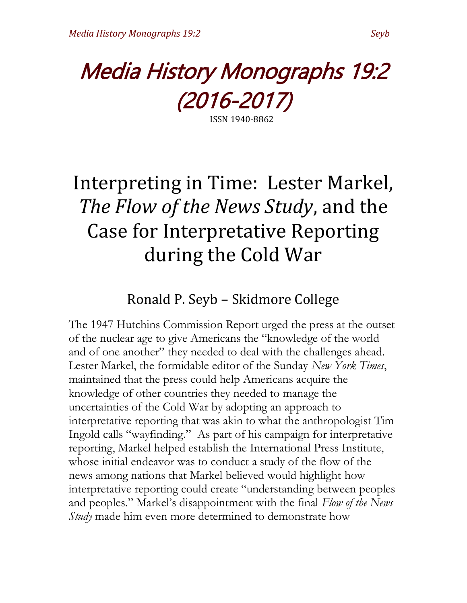

ISSN 1940-8862

# Interpreting in Time: Lester Markel, *The Flow of the News Study*, and the Case for Interpretative Reporting during the Cold War

# Ronald P. Seyb – Skidmore College

The 1947 Hutchins Commission Report urged the press at the outset of the nuclear age to give Americans the "knowledge of the world and of one another" they needed to deal with the challenges ahead. Lester Markel, the formidable editor of the Sunday *New York Times*, maintained that the press could help Americans acquire the knowledge of other countries they needed to manage the uncertainties of the Cold War by adopting an approach to interpretative reporting that was akin to what the anthropologist Tim Ingold calls "wayfinding." As part of his campaign for interpretative reporting, Markel helped establish the International Press Institute, whose initial endeavor was to conduct a study of the flow of the news among nations that Markel believed would highlight how interpretative reporting could create "understanding between peoples and peoples." Markel's disappointment with the final *Flow of the News Study* made him even more determined to demonstrate how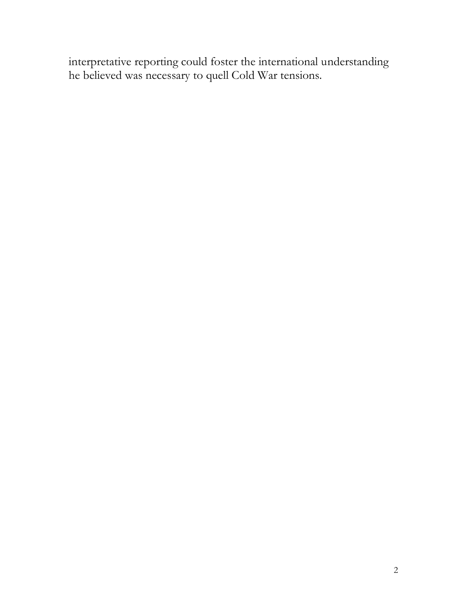interpretative reporting could foster the international understanding he believed was necessary to quell Cold War tensions.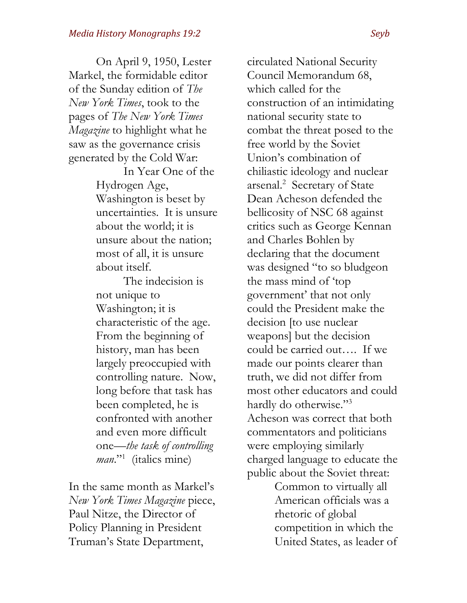On April 9, 1950, Lester Markel, the formidable editor of the Sunday edition of *The New York Times*, took to the pages of *The New York Times Magazine* to highlight what he saw as the governance crisis generated by the Cold War:

> In Year One of the Hydrogen Age, Washington is beset by uncertainties. It is unsure about the world; it is unsure about the nation; most of all, it is unsure about itself.

The indecision is not unique to Washington; it is characteristic of the age. From the beginning of history, man has been largely preoccupied with controlling nature. Now, long before that task has been completed, he is confronted with another and even more difficult one—*the task of controlling man*."<sup>1</sup> (italics mine)

In the same month as Markel's *New York Times Magazine* piece, Paul Nitze, the Director of Policy Planning in President Truman's State Department,

circulated National Security Council Memorandum 68, which called for the construction of an intimidating national security state to combat the threat posed to the free world by the Soviet Union's combination of chiliastic ideology and nuclear arsenal.<sup>2</sup> Secretary of State Dean Acheson defended the bellicosity of NSC 68 against critics such as George Kennan and Charles Bohlen by declaring that the document was designed "to so bludgeon the mass mind of 'top government' that not only could the President make the decision [to use nuclear weapons] but the decision could be carried out…. If we made our points clearer than truth, we did not differ from most other educators and could hardly do otherwise."<sup>3</sup> Acheson was correct that both commentators and politicians were employing similarly charged language to educate the public about the Soviet threat:

> Common to virtually all American officials was a rhetoric of global competition in which the United States, as leader of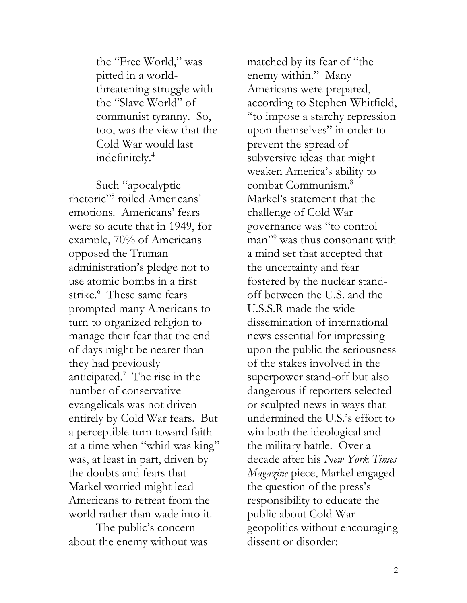the "Free World," was pitted in a worldthreatening struggle with the "Slave World" of communist tyranny. So, too, was the view that the Cold War would last indefinitely.<sup>4</sup>

Such "apocalyptic rhetoric"<sup>5</sup> roiled Americans' emotions. Americans' fears were so acute that in 1949, for example, 70% of Americans opposed the Truman administration's pledge not to use atomic bombs in a first strike.<sup>6</sup> These same fears prompted many Americans to turn to organized religion to manage their fear that the end of days might be nearer than they had previously anticipated.<sup>7</sup> The rise in the number of conservative evangelicals was not driven entirely by Cold War fears. But a perceptible turn toward faith at a time when "whirl was king" was, at least in part, driven by the doubts and fears that Markel worried might lead Americans to retreat from the world rather than wade into it.

The public's concern about the enemy without was matched by its fear of "the enemy within." Many Americans were prepared, according to Stephen Whitfield, "to impose a starchy repression upon themselves" in order to prevent the spread of subversive ideas that might weaken America's ability to combat Communism.<sup>8</sup> Markel's statement that the challenge of Cold War governance was "to control man<sup>"9</sup> was thus consonant with a mind set that accepted that the uncertainty and fear fostered by the nuclear standoff between the U.S. and the U.S.S.R made the wide dissemination of international news essential for impressing upon the public the seriousness of the stakes involved in the superpower stand-off but also dangerous if reporters selected or sculpted news in ways that undermined the U.S.'s effort to win both the ideological and the military battle. Over a decade after his *New York Times Magazine* piece, Markel engaged the question of the press's responsibility to educate the public about Cold War geopolitics without encouraging dissent or disorder: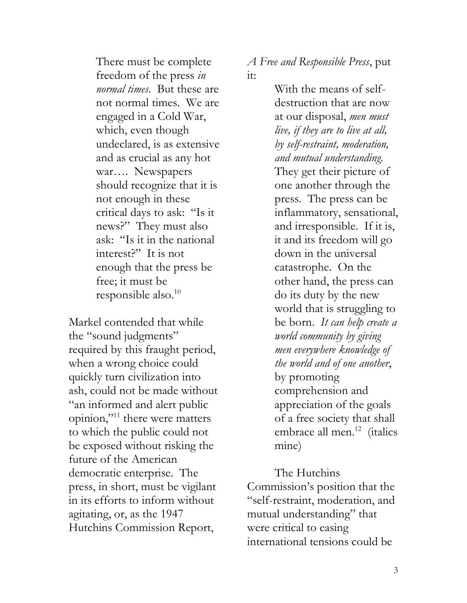There must be complete freedom of the press *in normal times*. But these are not normal times. We are engaged in a Cold War, which, even though undeclared, is as extensive and as crucial as any hot war…. Newspapers should recognize that it is not enough in these critical days to ask: "Is it news?" They must also ask: "Is it in the national interest?" It is not enough that the press be free; it must be responsible also.<sup>10</sup>

Markel contended that while the "sound judgments" required by this fraught period, when a wrong choice could quickly turn civilization into ash, could not be made without "an informed and alert public opinion,"<sup>11</sup> there were matters to which the public could not be exposed without risking the future of the American democratic enterprise. The press, in short, must be vigilant in its efforts to inform without agitating, or, as the 1947 Hutchins Commission Report,

*A Free and Responsible Press*, put it:

> With the means of selfdestruction that are now at our disposal, *men must live, if they are to live at all, by self-restraint, moderation, and mutual understanding.* They get their picture of one another through the press. The press can be inflammatory, sensational, and irresponsible. If it is, it and its freedom will go down in the universal catastrophe. On the other hand, the press can do its duty by the new world that is struggling to be born. *It can help create a world community by giving men everywhere knowledge of the world and of one another*, by promoting comprehension and appreciation of the goals of a free society that shall embrace all men.<sup>12</sup> (italics mine)

The Hutchins Commission's position that the "self-restraint, moderation, and mutual understanding" that were critical to easing international tensions could be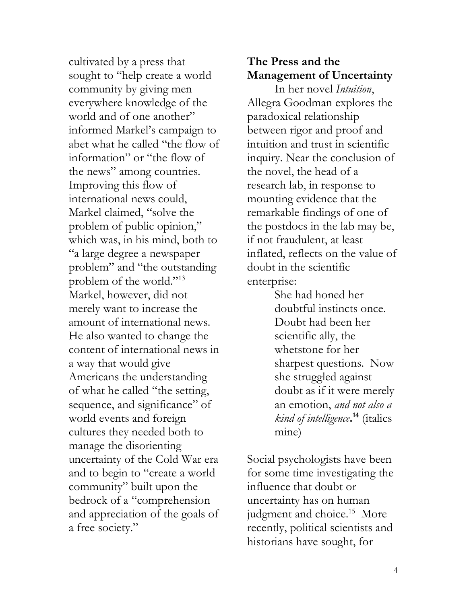cultivated by a press that sought to "help create a world community by giving men everywhere knowledge of the world and of one another" informed Markel's campaign to abet what he called "the flow of information" or "the flow of the news" among countries. Improving this flow of international news could, Markel claimed, "solve the problem of public opinion," which was, in his mind, both to "a large degree a newspaper problem" and "the outstanding problem of the world."<sup>13</sup> Markel, however, did not merely want to increase the amount of international news. He also wanted to change the content of international news in a way that would give Americans the understanding of what he called "the setting, sequence, and significance" of world events and foreign cultures they needed both to manage the disorienting uncertainty of the Cold War era and to begin to "create a world community" built upon the bedrock of a "comprehension and appreciation of the goals of a free society."

## **The Press and the Management of Uncertainty**

In her novel *Intuition*, Allegra Goodman explores the paradoxical relationship between rigor and proof and intuition and trust in scientific inquiry. Near the conclusion of the novel, the head of a research lab, in response to mounting evidence that the remarkable findings of one of the postdocs in the lab may be, if not fraudulent, at least inflated, reflects on the value of doubt in the scientific enterprise:

> She had honed her doubtful instincts once. Doubt had been her scientific ally, the whetstone for her sharpest questions. Now she struggled against doubt as if it were merely an emotion, *and not also a kind of intelligence***. <sup>14</sup>** (italics mine)

Social psychologists have been for some time investigating the influence that doubt or uncertainty has on human judgment and choice.<sup>15</sup> More recently, political scientists and historians have sought, for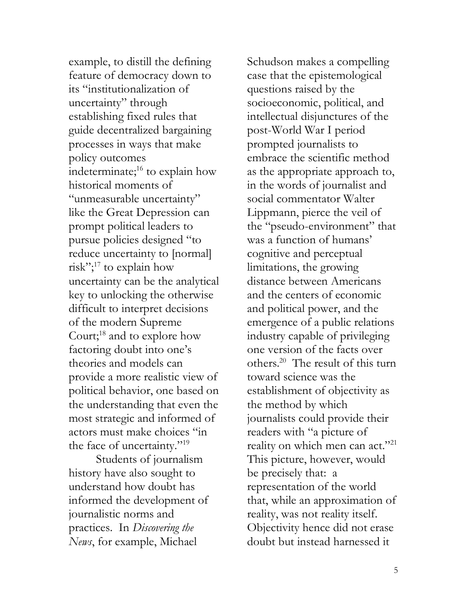example, to distill the defining feature of democracy down to its "institutionalization of uncertainty" through establishing fixed rules that guide decentralized bargaining processes in ways that make policy outcomes indeterminate;<sup>16</sup> to explain how historical moments of "unmeasurable uncertainty" like the Great Depression can prompt political leaders to pursue policies designed "to reduce uncertainty to [normal] risk"; $17$  to explain how uncertainty can be the analytical key to unlocking the otherwise difficult to interpret decisions of the modern Supreme Court;<sup>18</sup> and to explore how factoring doubt into one's theories and models can provide a more realistic view of political behavior, one based on the understanding that even the most strategic and informed of actors must make choices "in the face of uncertainty."<sup>19</sup>

Students of journalism history have also sought to understand how doubt has informed the development of journalistic norms and practices. In *Discovering the News*, for example, Michael

Schudson makes a compelling case that the epistemological questions raised by the socioeconomic, political, and intellectual disjunctures of the post-World War I period prompted journalists to embrace the scientific method as the appropriate approach to, in the words of journalist and social commentator Walter Lippmann, pierce the veil of the "pseudo-environment" that was a function of humans' cognitive and perceptual limitations, the growing distance between Americans and the centers of economic and political power, and the emergence of a public relations industry capable of privileging one version of the facts over others.<sup>20</sup> The result of this turn toward science was the establishment of objectivity as the method by which journalists could provide their readers with "a picture of reality on which men can act."<sup>21</sup> This picture, however, would be precisely that: a representation of the world that, while an approximation of reality, was not reality itself. Objectivity hence did not erase doubt but instead harnessed it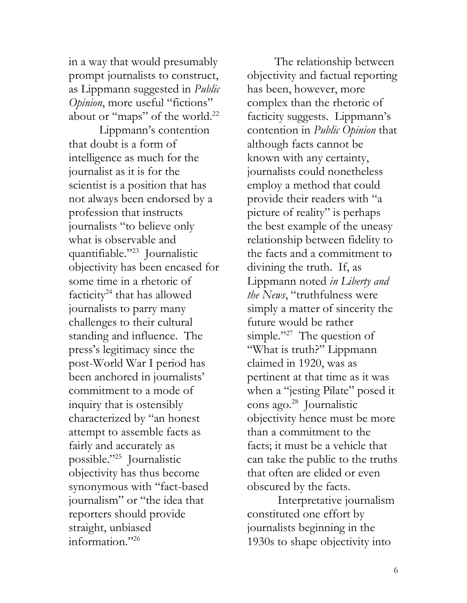in a way that would presumably prompt journalists to construct, as Lippmann suggested in *Public Opinion*, more useful "fictions" about or "maps" of the world.<sup>22</sup>

Lippmann's contention that doubt is a form of intelligence as much for the journalist as it is for the scientist is a position that has not always been endorsed by a profession that instructs journalists "to believe only what is observable and quantifiable."<sup>23</sup> Journalistic objectivity has been encased for some time in a rhetoric of facticity<sup>24</sup> that has allowed journalists to parry many challenges to their cultural standing and influence. The press's legitimacy since the post-World War I period has been anchored in journalists' commitment to a mode of inquiry that is ostensibly characterized by "an honest attempt to assemble facts as fairly and accurately as possible."<sup>25</sup> Journalistic objectivity has thus become synonymous with "fact-based journalism" or "the idea that reporters should provide straight, unbiased information."<sup>26</sup>

The relationship between objectivity and factual reporting has been, however, more complex than the rhetoric of facticity suggests. Lippmann's contention in *Public Opinion* that although facts cannot be known with any certainty, journalists could nonetheless employ a method that could provide their readers with "a picture of reality" is perhaps the best example of the uneasy relationship between fidelity to the facts and a commitment to divining the truth. If, as Lippmann noted *in Liberty and the News*, "truthfulness were simply a matter of sincerity the future would be rather simple."<sup>27</sup> The question of "What is truth?" Lippmann claimed in 1920, was as pertinent at that time as it was when a "jesting Pilate" posed it eons ago.<sup>28</sup> Journalistic objectivity hence must be more than a commitment to the facts; it must be a vehicle that can take the public to the truths that often are elided or even obscured by the facts.

Interpretative journalism constituted one effort by journalists beginning in the 1930s to shape objectivity into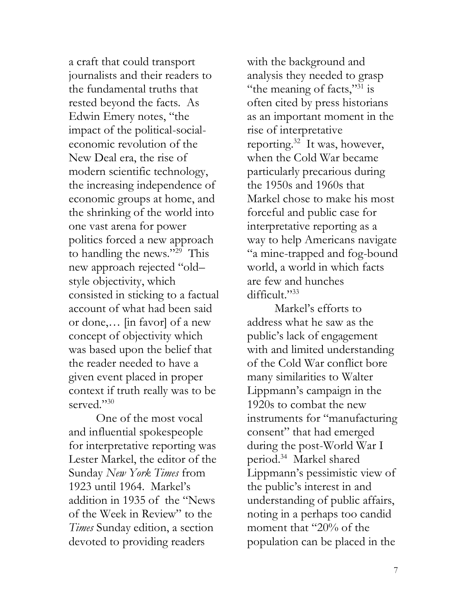a craft that could transport journalists and their readers to the fundamental truths that rested beyond the facts. As Edwin Emery notes, "the impact of the political-socialeconomic revolution of the New Deal era, the rise of modern scientific technology, the increasing independence of economic groups at home, and the shrinking of the world into one vast arena for power politics forced a new approach to handling the news."<sup>29</sup> This new approach rejected "old– style objectivity, which consisted in sticking to a factual account of what had been said or done,… [in favor] of a new concept of objectivity which was based upon the belief that the reader needed to have a given event placed in proper context if truth really was to be served."<sup>30</sup>

One of the most vocal and influential spokespeople for interpretative reporting was Lester Markel, the editor of the Sunday *New York Times* from 1923 until 1964. Markel's addition in 1935 of the "News of the Week in Review" to the *Times* Sunday edition, a section devoted to providing readers

with the background and analysis they needed to grasp "the meaning of facts," $31$  is often cited by press historians as an important moment in the rise of interpretative reporting.<sup>32</sup> It was, however, when the Cold War became particularly precarious during the 1950s and 1960s that Markel chose to make his most forceful and public case for interpretative reporting as a way to help Americans navigate "a mine-trapped and fog-bound world, a world in which facts are few and hunches difficult."<sup>33</sup>

Markel's efforts to address what he saw as the public's lack of engagement with and limited understanding of the Cold War conflict bore many similarities to Walter Lippmann's campaign in the 1920s to combat the new instruments for "manufacturing consent" that had emerged during the post-World War I period.<sup>34</sup> Markel shared Lippmann's pessimistic view of the public's interest in and understanding of public affairs, noting in a perhaps too candid moment that "20% of the population can be placed in the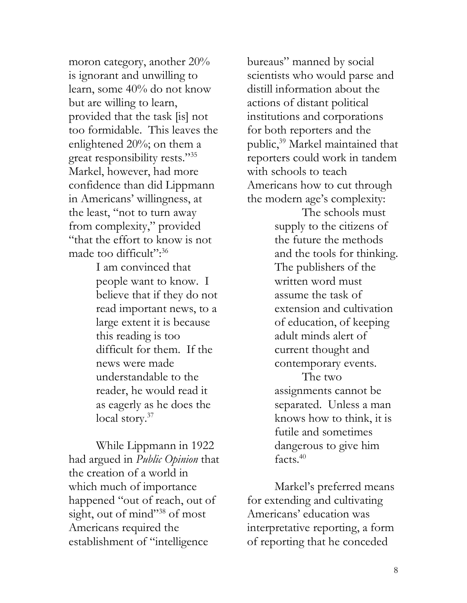moron category, another 20% is ignorant and unwilling to learn, some 40% do not know but are willing to learn, provided that the task [is] not too formidable. This leaves the enlightened 20%; on them a great responsibility rests."<sup>35</sup> Markel, however, had more confidence than did Lippmann in Americans' willingness, at the least, "not to turn away from complexity," provided "that the effort to know is not made too difficult":<sup>36</sup>

> I am convinced that people want to know. I believe that if they do not read important news, to a large extent it is because this reading is too difficult for them. If the news were made understandable to the reader, he would read it as eagerly as he does the local story. $37$

While Lippmann in 1922 had argued in *Public Opinion* that the creation of a world in which much of importance happened "out of reach, out of sight, out of mind"<sup>38</sup> of most Americans required the establishment of "intelligence

bureaus" manned by social scientists who would parse and distill information about the actions of distant political institutions and corporations for both reporters and the public,<sup>39</sup> Markel maintained that reporters could work in tandem with schools to teach Americans how to cut through the modern age's complexity:

> The schools must supply to the citizens of the future the methods and the tools for thinking. The publishers of the written word must assume the task of extension and cultivation of education, of keeping adult minds alert of current thought and contemporary events.

The two assignments cannot be separated. Unless a man knows how to think, it is futile and sometimes dangerous to give him facts.<sup>40</sup>

Markel's preferred means for extending and cultivating Americans' education was interpretative reporting, a form of reporting that he conceded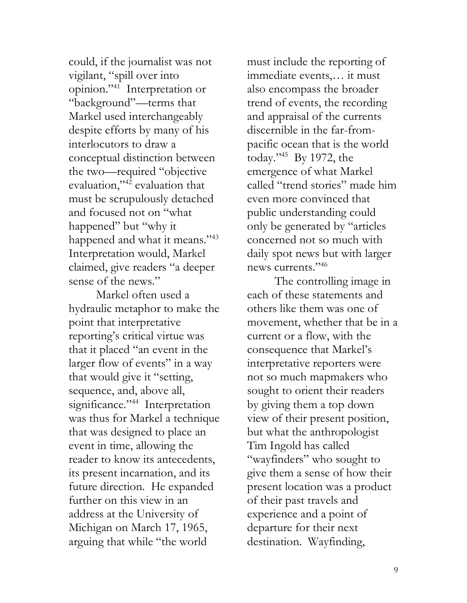could, if the journalist was not vigilant, "spill over into opinion."<sup>41</sup> Interpretation or "background"—terms that Markel used interchangeably despite efforts by many of his interlocutors to draw a conceptual distinction between the two—required "objective evaluation,"<sup>42</sup> evaluation that must be scrupulously detached and focused not on "what happened" but "why it happened and what it means."<sup>43</sup> Interpretation would, Markel claimed, give readers "a deeper sense of the news."

Markel often used a hydraulic metaphor to make the point that interpretative reporting's critical virtue was that it placed "an event in the larger flow of events" in a way that would give it "setting, sequence, and, above all, significance."<sup>44</sup> Interpretation was thus for Markel a technique that was designed to place an event in time, allowing the reader to know its antecedents, its present incarnation, and its future direction. He expanded further on this view in an address at the University of Michigan on March 17, 1965, arguing that while "the world

must include the reporting of immediate events,… it must also encompass the broader trend of events, the recording and appraisal of the currents discernible in the far-frompacific ocean that is the world today."<sup>45</sup> By 1972, the emergence of what Markel called "trend stories" made him even more convinced that public understanding could only be generated by "articles concerned not so much with daily spot news but with larger news currents."<sup>46</sup>

The controlling image in each of these statements and others like them was one of movement, whether that be in a current or a flow, with the consequence that Markel's interpretative reporters were not so much mapmakers who sought to orient their readers by giving them a top down view of their present position, but what the anthropologist Tim Ingold has called "wayfinders" who sought to give them a sense of how their present location was a product of their past travels and experience and a point of departure for their next destination. Wayfinding,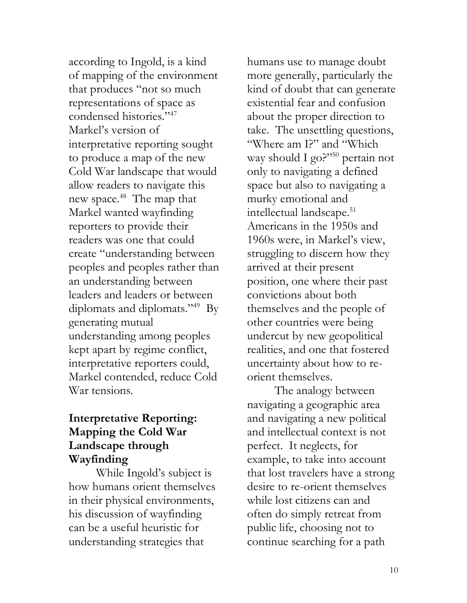according to Ingold, is a kind of mapping of the environment that produces "not so much representations of space as condensed histories."<sup>47</sup> Markel's version of interpretative reporting sought to produce a map of the new Cold War landscape that would allow readers to navigate this new space.<sup>48</sup> The map that Markel wanted wayfinding reporters to provide their readers was one that could create "understanding between peoples and peoples rather than an understanding between leaders and leaders or between diplomats and diplomats."<sup>49</sup> By generating mutual understanding among peoples kept apart by regime conflict, interpretative reporters could, Markel contended, reduce Cold War tensions.

#### **Interpretative Reporting: Mapping the Cold War Landscape through Wayfinding**

While Ingold's subject is how humans orient themselves in their physical environments, his discussion of wayfinding can be a useful heuristic for understanding strategies that

humans use to manage doubt more generally, particularly the kind of doubt that can generate existential fear and confusion about the proper direction to take. The unsettling questions, "Where am I?" and "Which way should I go?"<sup>50</sup> pertain not only to navigating a defined space but also to navigating a murky emotional and intellectual landscape.<sup>51</sup> Americans in the 1950s and 1960s were, in Markel's view, struggling to discern how they arrived at their present position, one where their past convictions about both themselves and the people of other countries were being undercut by new geopolitical realities, and one that fostered uncertainty about how to reorient themselves.

The analogy between navigating a geographic area and navigating a new political and intellectual context is not perfect. It neglects, for example, to take into account that lost travelers have a strong desire to re-orient themselves while lost citizens can and often do simply retreat from public life, choosing not to continue searching for a path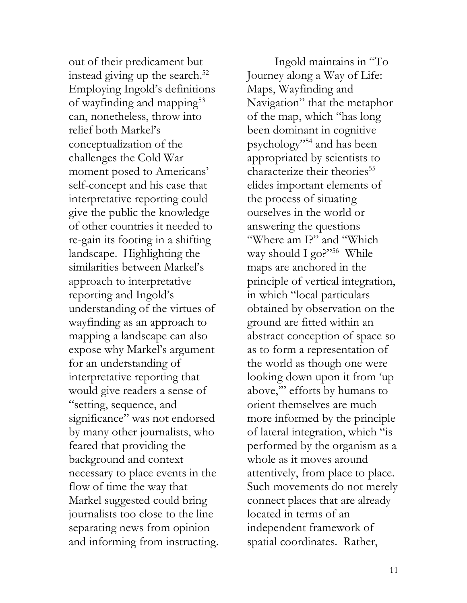out of their predicament but instead giving up the search. $52$ Employing Ingold's definitions of wayfinding and mapping<sup>55</sup> can, nonetheless, throw into relief both Markel's conceptualization of the challenges the Cold War moment posed to Americans' self-concept and his case that interpretative reporting could give the public the knowledge of other countries it needed to re-gain its footing in a shifting landscape. Highlighting the similarities between Markel's approach to interpretative reporting and Ingold's understanding of the virtues of wayfinding as an approach to mapping a landscape can also expose why Markel's argument for an understanding of interpretative reporting that would give readers a sense of "setting, sequence, and significance" was not endorsed by many other journalists, who feared that providing the background and context necessary to place events in the flow of time the way that Markel suggested could bring journalists too close to the line separating news from opinion and informing from instructing.

Ingold maintains in "To Journey along a Way of Life: Maps, Wayfinding and Navigation" that the metaphor of the map, which "has long been dominant in cognitive psychology"<sup>54</sup> and has been appropriated by scientists to characterize their theories<sup>55</sup> elides important elements of the process of situating ourselves in the world or answering the questions "Where am I?" and "Which way should I go?"<sup>56</sup> While maps are anchored in the principle of vertical integration, in which "local particulars obtained by observation on the ground are fitted within an abstract conception of space so as to form a representation of the world as though one were looking down upon it from 'up above,'" efforts by humans to orient themselves are much more informed by the principle of lateral integration, which "is performed by the organism as a whole as it moves around attentively, from place to place. Such movements do not merely connect places that are already located in terms of an independent framework of spatial coordinates. Rather,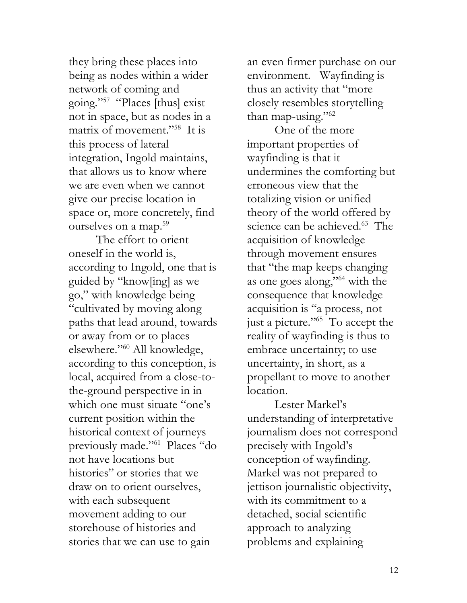they bring these places into being as nodes within a wider network of coming and going."<sup>57</sup> "Places [thus] exist not in space, but as nodes in a matrix of movement."<sup>58</sup> It is this process of lateral integration, Ingold maintains, that allows us to know where we are even when we cannot give our precise location in space or, more concretely, find ourselves on a map.<sup>59</sup>

The effort to orient oneself in the world is, according to Ingold, one that is guided by "know[ing] as we go," with knowledge being "cultivated by moving along paths that lead around, towards or away from or to places elsewhere."<sup>60</sup> All knowledge, according to this conception, is local, acquired from a close-tothe-ground perspective in in which one must situate "one's current position within the historical context of journeys previously made."<sup>61</sup> Places "do not have locations but histories" or stories that we draw on to orient ourselves, with each subsequent movement adding to our storehouse of histories and stories that we can use to gain

an even firmer purchase on our environment. Wayfinding is thus an activity that "more closely resembles storytelling than map-using." $62$ 

One of the more important properties of wayfinding is that it undermines the comforting but erroneous view that the totalizing vision or unified theory of the world offered by science can be achieved.<sup>63</sup> The acquisition of knowledge through movement ensures that "the map keeps changing as one goes along,"<sup>64</sup> with the consequence that knowledge acquisition is "a process, not just a picture."<sup>65</sup> To accept the reality of wayfinding is thus to embrace uncertainty; to use uncertainty, in short, as a propellant to move to another location.

Lester Markel's understanding of interpretative journalism does not correspond precisely with Ingold's conception of wayfinding. Markel was not prepared to jettison journalistic objectivity, with its commitment to a detached, social scientific approach to analyzing problems and explaining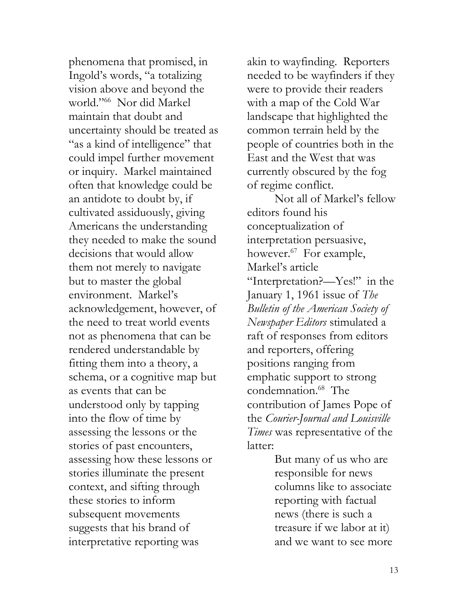phenomena that promised, in Ingold's words, "a totalizing vision above and beyond the world."<sup>66</sup> Nor did Markel maintain that doubt and uncertainty should be treated as "as a kind of intelligence" that could impel further movement or inquiry. Markel maintained often that knowledge could be an antidote to doubt by, if cultivated assiduously, giving Americans the understanding they needed to make the sound decisions that would allow them not merely to navigate but to master the global environment. Markel's acknowledgement, however, of the need to treat world events not as phenomena that can be rendered understandable by fitting them into a theory, a schema, or a cognitive map but as events that can be understood only by tapping into the flow of time by assessing the lessons or the stories of past encounters, assessing how these lessons or stories illuminate the present context, and sifting through these stories to inform subsequent movements suggests that his brand of interpretative reporting was

akin to wayfinding. Reporters needed to be wayfinders if they were to provide their readers with a map of the Cold War landscape that highlighted the common terrain held by the people of countries both in the East and the West that was currently obscured by the fog of regime conflict.

Not all of Markel's fellow editors found his conceptualization of interpretation persuasive, however.<sup>67</sup> For example, Markel's article "Interpretation?—Yes!" in the January 1, 1961 issue of *The Bulletin of the American Society of Newspaper Editors* stimulated a raft of responses from editors and reporters, offering positions ranging from emphatic support to strong condemnation.<sup>68</sup> The contribution of James Pope of the *Courier-Journal and Louisville Times* was representative of the latter:

> But many of us who are responsible for news columns like to associate reporting with factual news (there is such a treasure if we labor at it) and we want to see more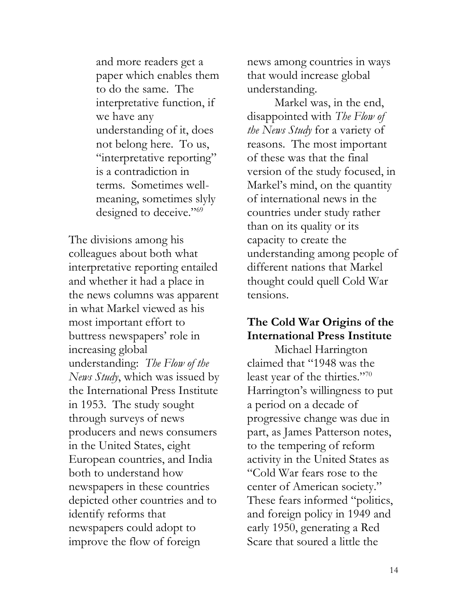and more readers get a paper which enables them to do the same. The interpretative function, if we have any understanding of it, does not belong here. To us, "interpretative reporting" is a contradiction in terms. Sometimes wellmeaning, sometimes slyly designed to deceive."<sup>69</sup>

The divisions among his colleagues about both what interpretative reporting entailed and whether it had a place in the news columns was apparent in what Markel viewed as his most important effort to buttress newspapers' role in increasing global understanding: *The Flow of the News Study*, which was issued by the International Press Institute in 1953. The study sought through surveys of news producers and news consumers in the United States, eight European countries, and India both to understand how newspapers in these countries depicted other countries and to identify reforms that newspapers could adopt to improve the flow of foreign

news among countries in ways that would increase global understanding.

Markel was, in the end, disappointed with *The Flow of the News Study* for a variety of reasons. The most important of these was that the final version of the study focused, in Markel's mind, on the quantity of international news in the countries under study rather than on its quality or its capacity to create the understanding among people of different nations that Markel thought could quell Cold War tensions.

## **The Cold War Origins of the International Press Institute**

Michael Harrington claimed that "1948 was the least year of the thirties."70 Harrington's willingness to put a period on a decade of progressive change was due in part, as James Patterson notes, to the tempering of reform activity in the United States as "Cold War fears rose to the center of American society." These fears informed "politics, and foreign policy in 1949 and early 1950, generating a Red Scare that soured a little the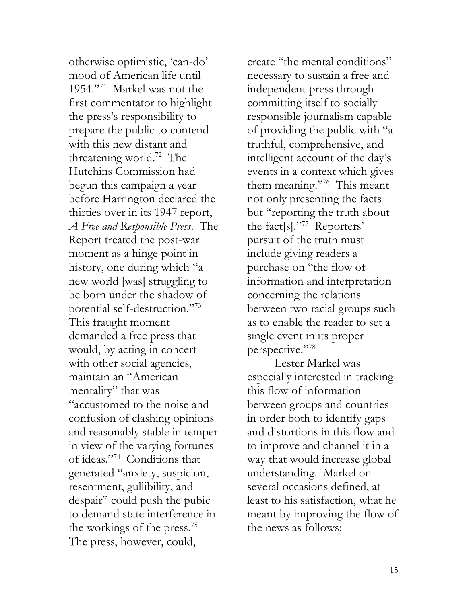otherwise optimistic, 'can-do' mood of American life until 1954."<sup>71</sup> Markel was not the first commentator to highlight the press's responsibility to prepare the public to contend with this new distant and threatening world.<sup>72</sup> The Hutchins Commission had begun this campaign a year before Harrington declared the thirties over in its 1947 report, *A Free and Responsible Press*. The Report treated the post-war moment as a hinge point in history, one during which "a new world [was] struggling to be born under the shadow of potential self-destruction."<sup>73</sup> This fraught moment demanded a free press that would, by acting in concert with other social agencies, maintain an "American mentality" that was "accustomed to the noise and confusion of clashing opinions and reasonably stable in temper in view of the varying fortunes of ideas."<sup>74</sup> Conditions that generated "anxiety, suspicion, resentment, gullibility, and despair" could push the pubic to demand state interference in the workings of the press.<sup>75</sup> The press, however, could,

create "the mental conditions" necessary to sustain a free and independent press through committing itself to socially responsible journalism capable of providing the public with "a truthful, comprehensive, and intelligent account of the day's events in a context which gives them meaning."<sup>76</sup> This meant not only presenting the facts but "reporting the truth about the fact[s]."<sup>77</sup> Reporters' pursuit of the truth must include giving readers a purchase on "the flow of information and interpretation concerning the relations between two racial groups such as to enable the reader to set a single event in its proper perspective."78

Lester Markel was especially interested in tracking this flow of information between groups and countries in order both to identify gaps and distortions in this flow and to improve and channel it in a way that would increase global understanding. Markel on several occasions defined, at least to his satisfaction, what he meant by improving the flow of the news as follows: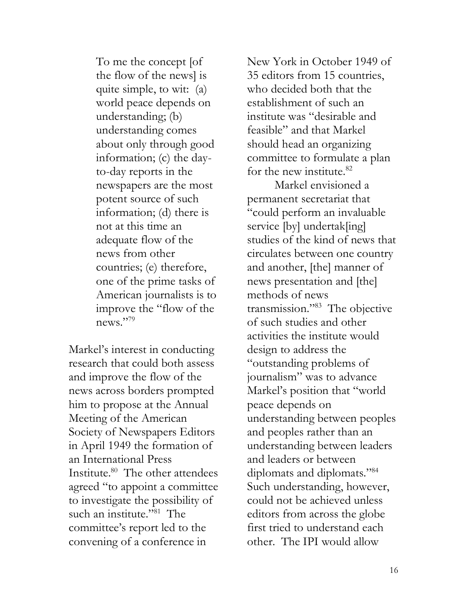To me the concept [of the flow of the news] is quite simple, to wit: (a) world peace depends on understanding; (b) understanding comes about only through good information; (c) the dayto-day reports in the newspapers are the most potent source of such information; (d) there is not at this time an adequate flow of the news from other countries; (e) therefore, one of the prime tasks of American journalists is to improve the "flow of the news."79

Markel's interest in conducting research that could both assess and improve the flow of the news across borders prompted him to propose at the Annual Meeting of the American Society of Newspapers Editors in April 1949 the formation of an International Press Institute.<sup>80</sup> The other attendees agreed "to appoint a committee to investigate the possibility of such an institute."<sup>81</sup> The committee's report led to the convening of a conference in

New York in October 1949 of 35 editors from 15 countries, who decided both that the establishment of such an institute was "desirable and feasible" and that Markel should head an organizing committee to formulate a plan for the new institute. $82$ 

Markel envisioned a permanent secretariat that "could perform an invaluable service [by] undertak[ing] studies of the kind of news that circulates between one country and another, [the] manner of news presentation and [the] methods of news transmission."<sup>83</sup> The objective of such studies and other activities the institute would design to address the "outstanding problems of journalism" was to advance Markel's position that "world peace depends on understanding between peoples and peoples rather than an understanding between leaders and leaders or between diplomats and diplomats."<sup>84</sup> Such understanding, however, could not be achieved unless editors from across the globe first tried to understand each other. The IPI would allow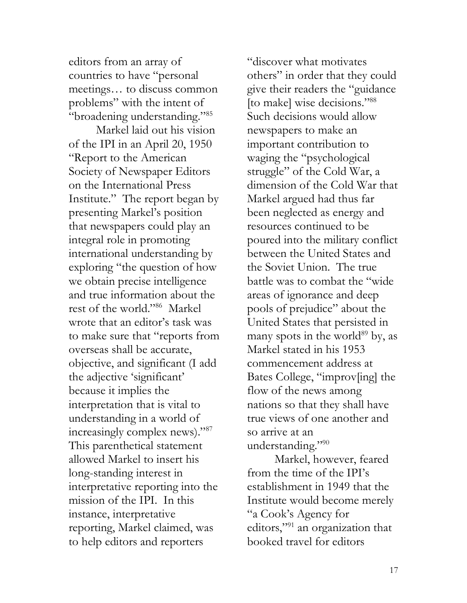editors from an array of countries to have "personal meetings… to discuss common problems" with the intent of "broadening understanding."<sup>85</sup>

Markel laid out his vision of the IPI in an April 20, 1950 "Report to the American Society of Newspaper Editors on the International Press Institute." The report began by presenting Markel's position that newspapers could play an integral role in promoting international understanding by exploring "the question of how we obtain precise intelligence and true information about the rest of the world."<sup>86</sup> Markel wrote that an editor's task was to make sure that "reports from overseas shall be accurate, objective, and significant (I add the adjective 'significant' because it implies the interpretation that is vital to understanding in a world of increasingly complex news)."<sup>87</sup> This parenthetical statement allowed Markel to insert his long-standing interest in interpretative reporting into the mission of the IPI. In this instance, interpretative reporting, Markel claimed, was to help editors and reporters

"discover what motivates others" in order that they could give their readers the "guidance [to make] wise decisions."<sup>88</sup> Such decisions would allow newspapers to make an important contribution to waging the "psychological struggle" of the Cold War, a dimension of the Cold War that Markel argued had thus far been neglected as energy and resources continued to be poured into the military conflict between the United States and the Soviet Union. The true battle was to combat the "wide areas of ignorance and deep pools of prejudice" about the United States that persisted in many spots in the world<sup>89</sup> by, as Markel stated in his 1953 commencement address at Bates College, "improv[ing] the flow of the news among nations so that they shall have true views of one another and so arrive at an understanding."<sup>90</sup>

Markel, however, feared from the time of the IPI's establishment in 1949 that the Institute would become merely "a Cook's Agency for editors,"<sup>91</sup> an organization that booked travel for editors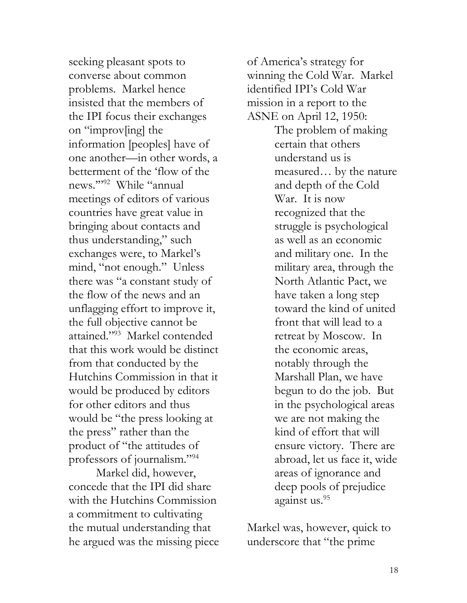seeking pleasant spots to converse about common problems. Markel hence insisted that the members of the IPI focus their exchanges on "improv[ing] the information [peoples] have of one another—in other words, a betterment of the 'flow of the news.'"<sup>92</sup> While "annual meetings of editors of various countries have great value in bringing about contacts and thus understanding," such exchanges were, to Markel's mind, "not enough." Unless there was "a constant study of the flow of the news and an unflagging effort to improve it, the full objective cannot be attained."<sup>93</sup> Markel contended that this work would be distinct from that conducted by the Hutchins Commission in that it would be produced by editors for other editors and thus would be "the press looking at the press" rather than the product of "the attitudes of professors of journalism."<sup>94</sup>

Markel did, however, concede that the IPI did share with the Hutchins Commission a commitment to cultivating the mutual understanding that he argued was the missing piece

of America's strategy for winning the Cold War. Markel identified IPI's Cold War mission in a report to the ASNE on April 12, 1950:

> The problem of making certain that others understand us is measured… by the nature and depth of the Cold War. It is now recognized that the struggle is psychological as well as an economic and military one. In the military area, through the North Atlantic Pact, we have taken a long step toward the kind of united front that will lead to a retreat by Moscow. In the economic areas, notably through the Marshall Plan, we have begun to do the job. But in the psychological areas we are not making the kind of effort that will ensure victory. There are abroad, let us face it, wide areas of ignorance and deep pools of prejudice against us.<sup>95</sup>

Markel was, however, quick to underscore that "the prime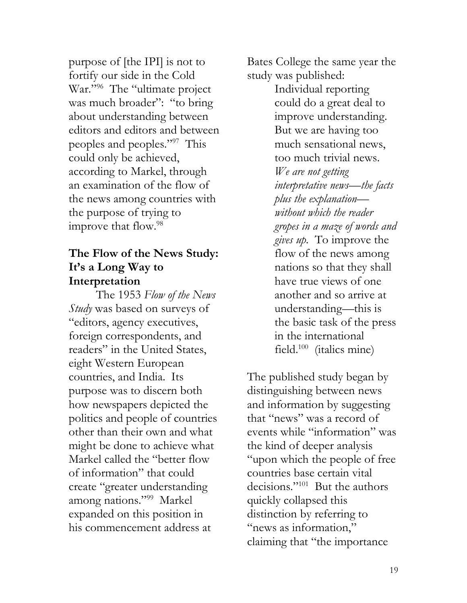purpose of [the IPI] is not to fortify our side in the Cold War."<sup>96</sup> The "ultimate project was much broader": "to bring about understanding between editors and editors and between peoples and peoples."<sup>97</sup> This could only be achieved, according to Markel, through an examination of the flow of the news among countries with the purpose of trying to improve that flow.<sup>98</sup>

#### **The Flow of the News Study: It's a Long Way to Interpretation**

The 1953 *Flow of the News Study* was based on surveys of "editors, agency executives, foreign correspondents, and readers" in the United States, eight Western European countries, and India. Its purpose was to discern both how newspapers depicted the politics and people of countries other than their own and what might be done to achieve what Markel called the "better flow of information" that could create "greater understanding among nations."<sup>99</sup> Markel expanded on this position in his commencement address at

Bates College the same year the study was published:

> Individual reporting could do a great deal to improve understanding. But we are having too much sensational news, too much trivial news. *We are not getting interpretative news—the facts plus the explanation without which the reader gropes in a maze of words and gives up.* To improve the flow of the news among nations so that they shall have true views of one another and so arrive at understanding—this is the basic task of the press in the international field.<sup>100</sup> (italics mine)

The published study began by distinguishing between news and information by suggesting that "news" was a record of events while "information" was the kind of deeper analysis "upon which the people of free countries base certain vital decisions."<sup>101</sup> But the authors quickly collapsed this distinction by referring to "news as information," claiming that "the importance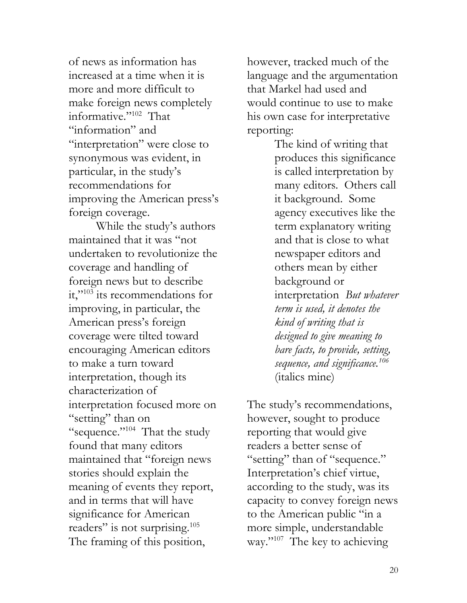of news as information has increased at a time when it is more and more difficult to make foreign news completely informative."<sup>102</sup> That "information" and "interpretation" were close to synonymous was evident, in particular, in the study's recommendations for improving the American press's foreign coverage.

While the study's authors maintained that it was "not undertaken to revolutionize the coverage and handling of foreign news but to describe it,"<sup>103</sup> its recommendations for improving, in particular, the American press's foreign coverage were tilted toward encouraging American editors to make a turn toward interpretation, though its characterization of interpretation focused more on "setting" than on "sequence."<sup>104</sup> That the study found that many editors maintained that "foreign news stories should explain the meaning of events they report, and in terms that will have significance for American readers" is not surprising.<sup>105</sup> The framing of this position,

however, tracked much of the language and the argumentation that Markel had used and would continue to use to make his own case for interpretative reporting:

> The kind of writing that produces this significance is called interpretation by many editors. Others call it background. Some agency executives like the term explanatory writing and that is close to what newspaper editors and others mean by either background or interpretation *But whatever term is used, it denotes the kind of writing that is designed to give meaning to bare facts, to provide, setting, sequence, and significance.<sup>106</sup>*  (italics mine)

The study's recommendations, however, sought to produce reporting that would give readers a better sense of "setting" than of "sequence." Interpretation's chief virtue, according to the study, was its capacity to convey foreign news to the American public "in a more simple, understandable way."<sup>107</sup> The key to achieving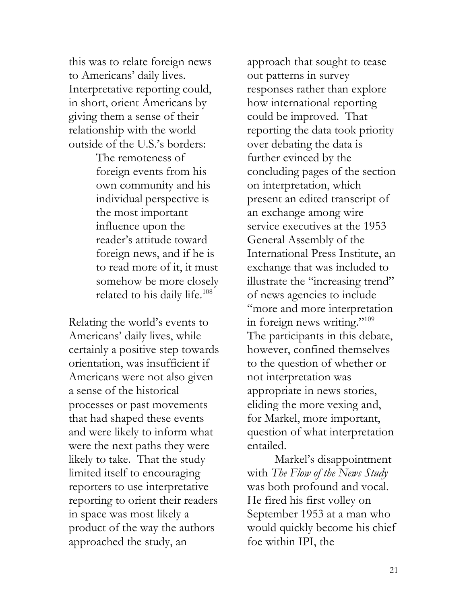this was to relate foreign news to Americans' daily lives. Interpretative reporting could, in short, orient Americans by giving them a sense of their relationship with the world outside of the U.S.'s borders:

> The remoteness of foreign events from his own community and his individual perspective is the most important influence upon the reader's attitude toward foreign news, and if he is to read more of it, it must somehow be more closely related to his daily life.<sup>108</sup>

Relating the world's events to Americans' daily lives, while certainly a positive step towards orientation, was insufficient if Americans were not also given a sense of the historical processes or past movements that had shaped these events and were likely to inform what were the next paths they were likely to take. That the study limited itself to encouraging reporters to use interpretative reporting to orient their readers in space was most likely a product of the way the authors approached the study, an

approach that sought to tease out patterns in survey responses rather than explore how international reporting could be improved. That reporting the data took priority over debating the data is further evinced by the concluding pages of the section on interpretation, which present an edited transcript of an exchange among wire service executives at the 1953 General Assembly of the International Press Institute, an exchange that was included to illustrate the "increasing trend" of news agencies to include "more and more interpretation in foreign news writing."<sup>109</sup> The participants in this debate, however, confined themselves to the question of whether or not interpretation was appropriate in news stories, eliding the more vexing and, for Markel, more important, question of what interpretation entailed.

Markel's disappointment with *The Flow of the News Study* was both profound and vocal. He fired his first volley on September 1953 at a man who would quickly become his chief foe within IPI, the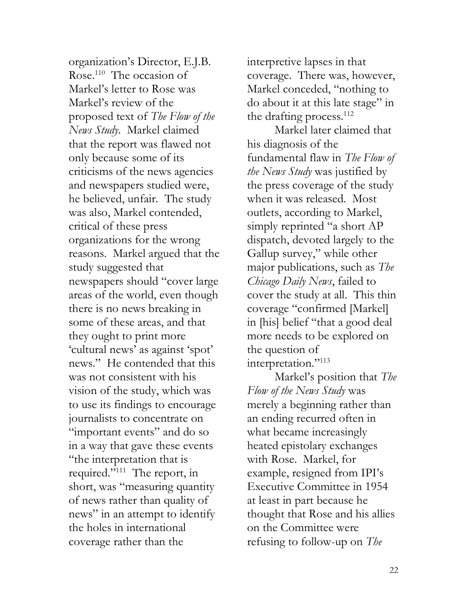organization's Director, E.J.B. Rose.<sup>110</sup> The occasion of Markel's letter to Rose was Markel's review of the proposed text of *The Flow of the News Study*. Markel claimed that the report was flawed not only because some of its criticisms of the news agencies and newspapers studied were, he believed, unfair. The study was also, Markel contended, critical of these press organizations for the wrong reasons. Markel argued that the study suggested that newspapers should "cover large areas of the world, even though there is no news breaking in some of these areas, and that they ought to print more 'cultural news' as against 'spot' news." He contended that this was not consistent with his vision of the study, which was to use its findings to encourage journalists to concentrate on "important events" and do so in a way that gave these events "the interpretation that is required."<sup>111</sup> The report, in short, was "measuring quantity of news rather than quality of news" in an attempt to identify the holes in international coverage rather than the

interpretive lapses in that coverage. There was, however, Markel conceded, "nothing to do about it at this late stage" in the drafting process. $^{112}$ 

Markel later claimed that his diagnosis of the fundamental flaw in *The Flow of the News Study* was justified by the press coverage of the study when it was released. Most outlets, according to Markel, simply reprinted "a short AP dispatch, devoted largely to the Gallup survey," while other major publications, such as *The Chicago Daily News*, failed to cover the study at all. This thin coverage "confirmed [Markel] in [his] belief "that a good deal more needs to be explored on the question of interpretation."<sup>113</sup>

Markel's position that *The Flow of the News Study* was merely a beginning rather than an ending recurred often in what became increasingly heated epistolary exchanges with Rose. Markel, for example, resigned from IPI's Executive Committee in 1954 at least in part because he thought that Rose and his allies on the Committee were refusing to follow-up on *The*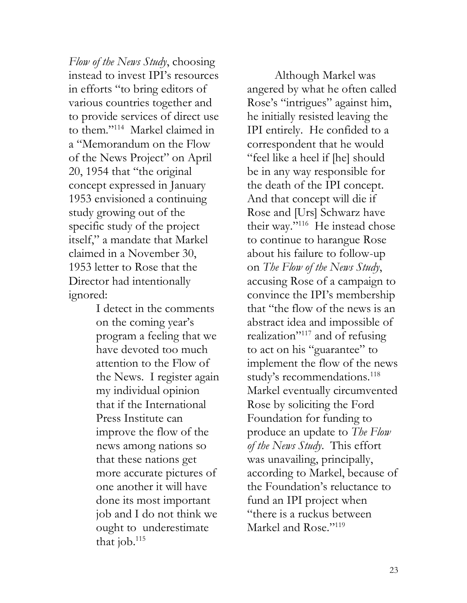*Flow of the News Study*, choosing instead to invest IPI's resources in efforts "to bring editors of various countries together and to provide services of direct use to them."<sup>114</sup> Markel claimed in a "Memorandum on the Flow of the News Project" on April 20, 1954 that "the original concept expressed in January 1953 envisioned a continuing study growing out of the specific study of the project itself," a mandate that Markel claimed in a November 30, 1953 letter to Rose that the Director had intentionally ignored:

> I detect in the comments on the coming year's program a feeling that we have devoted too much attention to the Flow of the News. I register again my individual opinion that if the International Press Institute can improve the flow of the news among nations so that these nations get more accurate pictures of one another it will have done its most important job and I do not think we ought to underestimate that job.<sup>115</sup>

Although Markel was angered by what he often called Rose's "intrigues" against him, he initially resisted leaving the IPI entirely. He confided to a correspondent that he would "feel like a heel if [he] should be in any way responsible for the death of the IPI concept. And that concept will die if Rose and [Urs] Schwarz have their way."<sup>116</sup> He instead chose to continue to harangue Rose about his failure to follow-up on *The Flow of the News Study*, accusing Rose of a campaign to convince the IPI's membership that "the flow of the news is an abstract idea and impossible of realization"<sup>117</sup> and of refusing to act on his "guarantee" to implement the flow of the news study's recommendations.<sup>118</sup> Markel eventually circumvented Rose by soliciting the Ford Foundation for funding to produce an update to *The Flow of the News Study*. This effort was unavailing, principally, according to Markel, because of the Foundation's reluctance to fund an IPI project when "there is a ruckus between Markel and Rose."<sup>119</sup>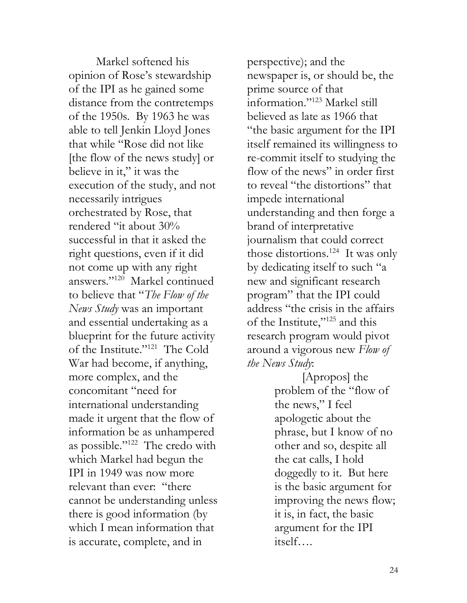Markel softened his opinion of Rose's stewardship of the IPI as he gained some distance from the contretemps of the 1950s. By 1963 he was able to tell Jenkin Lloyd Jones that while "Rose did not like [the flow of the news study] or believe in it," it was the execution of the study, and not necessarily intrigues orchestrated by Rose, that rendered "it about 30% successful in that it asked the right questions, even if it did not come up with any right answers."<sup>120</sup> Markel continued to believe that "*The Flow of the News Study* was an important and essential undertaking as a blueprint for the future activity of the Institute."<sup>121</sup> The Cold War had become, if anything, more complex, and the concomitant "need for international understanding made it urgent that the flow of information be as unhampered as possible."<sup>122</sup> The credo with which Markel had begun the IPI in 1949 was now more relevant than ever: "there cannot be understanding unless there is good information (by which I mean information that is accurate, complete, and in

perspective); and the newspaper is, or should be, the prime source of that information."<sup>123</sup> Markel still believed as late as 1966 that "the basic argument for the IPI itself remained its willingness to re-commit itself to studying the flow of the news" in order first to reveal "the distortions" that impede international understanding and then forge a brand of interpretative journalism that could correct those distortions.<sup>124</sup> It was only by dedicating itself to such "a new and significant research program" that the IPI could address "the crisis in the affairs of the Institute,"<sup>125</sup> and this research program would pivot around a vigorous new *Flow of the News Study*:

> [Apropos] the problem of the "flow of the news," I feel apologetic about the phrase, but I know of no other and so, despite all the cat calls, I hold doggedly to it. But here is the basic argument for improving the news flow; it is, in fact, the basic argument for the IPI itself….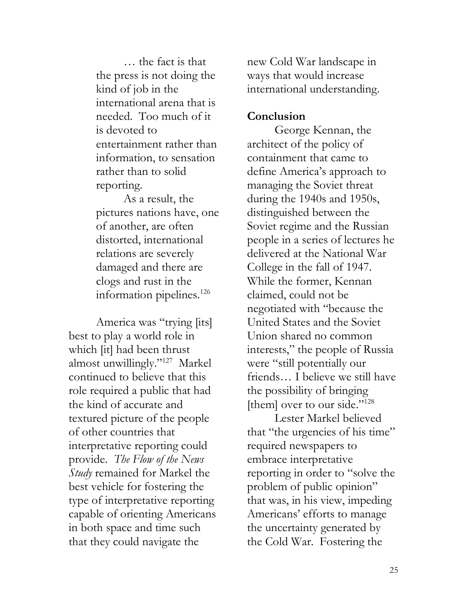… the fact is that the press is not doing the kind of job in the international arena that is needed. Too much of it is devoted to entertainment rather than information, to sensation rather than to solid reporting.

As a result, the pictures nations have, one of another, are often distorted, international relations are severely damaged and there are clogs and rust in the information pipelines.<sup>126</sup>

America was "trying [its] best to play a world role in which [it] had been thrust almost unwillingly."<sup>127</sup> Markel continued to believe that this role required a public that had the kind of accurate and textured picture of the people of other countries that interpretative reporting could provide. *The Flow of the News Study* remained for Markel the best vehicle for fostering the type of interpretative reporting capable of orienting Americans in both space and time such that they could navigate the

new Cold War landscape in ways that would increase international understanding.

#### **Conclusion**

George Kennan, the architect of the policy of containment that came to define America's approach to managing the Soviet threat during the 1940s and 1950s, distinguished between the Soviet regime and the Russian people in a series of lectures he delivered at the National War College in the fall of 1947. While the former, Kennan claimed, could not be negotiated with "because the United States and the Soviet Union shared no common interests," the people of Russia were "still potentially our friends… I believe we still have the possibility of bringing [them] over to our side."<sup>128</sup>

Lester Markel believed that "the urgencies of his time" required newspapers to embrace interpretative reporting in order to "solve the problem of public opinion" that was, in his view, impeding Americans' efforts to manage the uncertainty generated by the Cold War. Fostering the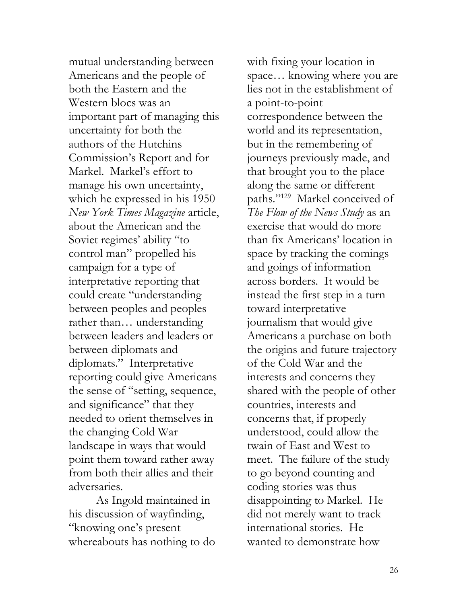mutual understanding between Americans and the people of both the Eastern and the Western blocs was an important part of managing this uncertainty for both the authors of the Hutchins Commission's Report and for Markel. Markel's effort to manage his own uncertainty, which he expressed in his 1950 *New York Times Magazine* article, about the American and the Soviet regimes' ability "to control man" propelled his campaign for a type of interpretative reporting that could create "understanding between peoples and peoples rather than… understanding between leaders and leaders or between diplomats and diplomats." Interpretative reporting could give Americans the sense of "setting, sequence, and significance" that they needed to orient themselves in the changing Cold War landscape in ways that would point them toward rather away from both their allies and their adversaries.

As Ingold maintained in his discussion of wayfinding, "knowing one's present whereabouts has nothing to do

with fixing your location in space… knowing where you are lies not in the establishment of a point-to-point correspondence between the world and its representation, but in the remembering of journeys previously made, and that brought you to the place along the same or different paths."<sup>129</sup> Markel conceived of *The Flow of the News Study* as an exercise that would do more than fix Americans' location in space by tracking the comings and goings of information across borders. It would be instead the first step in a turn toward interpretative journalism that would give Americans a purchase on both the origins and future trajectory of the Cold War and the interests and concerns they shared with the people of other countries, interests and concerns that, if properly understood, could allow the twain of East and West to meet. The failure of the study to go beyond counting and coding stories was thus disappointing to Markel. He did not merely want to track international stories. He wanted to demonstrate how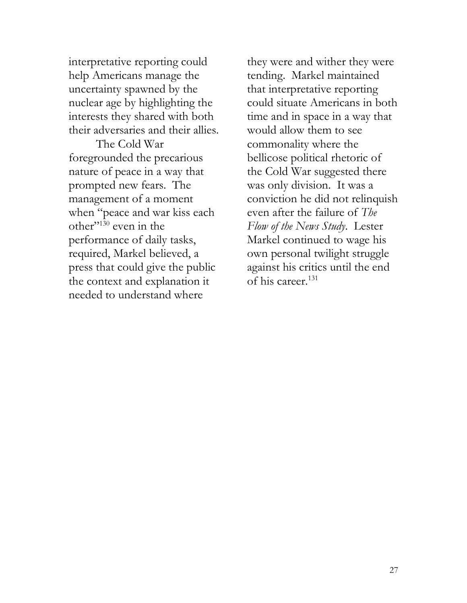interpretative reporting could help Americans manage the uncertainty spawned by the nuclear age by highlighting the interests they shared with both their adversaries and their allies.

The Cold War foregrounded the precarious nature of peace in a way that prompted new fears. The management of a moment when "peace and war kiss each other"<sup>130</sup> even in the performance of daily tasks, required, Markel believed, a press that could give the public the context and explanation it needed to understand where

they were and wither they were tending. Markel maintained that interpretative reporting could situate Americans in both time and in space in a way that would allow them to see commonality where the bellicose political rhetoric of the Cold War suggested there was only division. It was a conviction he did not relinquish even after the failure of *The Flow of the News Study*. Lester Markel continued to wage his own personal twilight struggle against his critics until the end of his career.<sup>131</sup>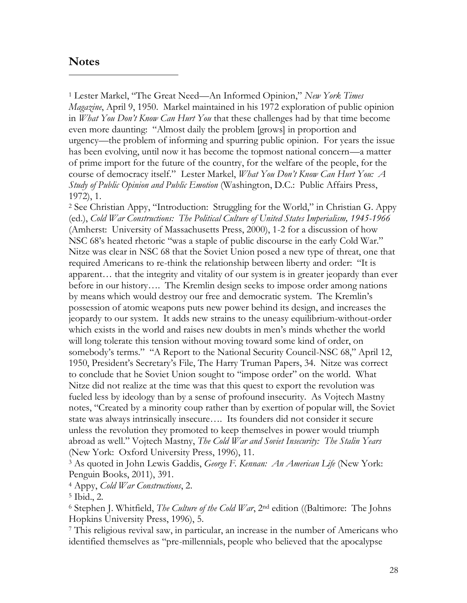#### **Notes**

 $\overline{a}$ 

<sup>1</sup> Lester Markel, "The Great Need—An Informed Opinion," *New York Times Magazine*, April 9, 1950. Markel maintained in his 1972 exploration of public opinion in *What You Don't Know Can Hurt You* that these challenges had by that time become even more daunting: "Almost daily the problem [grows] in proportion and urgency—the problem of informing and spurring public opinion. For years the issue has been evolving, until now it has become the topmost national concern—a matter of prime import for the future of the country, for the welfare of the people, for the course of democracy itself." Lester Markel, *What You Don't Know Can Hurt You: A Study of Public Opinion and Public Emotion* (Washington, D.C.: Public Affairs Press, 1972), 1.

<sup>2</sup> See Christian Appy, "Introduction: Struggling for the World," in Christian G. Appy (ed.), *Cold War Constructions: The Political Culture of United States Imperialism, 1945-1966* (Amherst: University of Massachusetts Press, 2000), 1-2 for a discussion of how NSC 68's heated rhetoric "was a staple of public discourse in the early Cold War." Nitze was clear in NSC 68 that the Soviet Union posed a new type of threat, one that required Americans to re-think the relationship between liberty and order: "It is apparent… that the integrity and vitality of our system is in greater jeopardy than ever before in our history…. The Kremlin design seeks to impose order among nations by means which would destroy our free and democratic system. The Kremlin's possession of atomic weapons puts new power behind its design, and increases the jeopardy to our system. It adds new strains to the uneasy equilibrium-without-order which exists in the world and raises new doubts in men's minds whether the world will long tolerate this tension without moving toward some kind of order, on somebody's terms." "A Report to the National Security Council-NSC 68," April 12, 1950, President's Secretary's File, The Harry Truman Papers, 34. Nitze was correct to conclude that he Soviet Union sought to "impose order" on the world. What Nitze did not realize at the time was that this quest to export the revolution was fueled less by ideology than by a sense of profound insecurity. As Vojtech Mastny notes, "Created by a minority coup rather than by exertion of popular will, the Soviet state was always intrinsically insecure…. Its founders did not consider it secure unless the revolution they promoted to keep themselves in power would triumph abroad as well." Vojtech Mastny, *The Cold War and Soviet Insecurity: The Stalin Years* (New York: Oxford University Press, 1996), 11.

<sup>3</sup> As quoted in John Lewis Gaddis, *George F. Kennan: An American Life* (New York: Penguin Books, 2011), 391.

<sup>4</sup> Appy, *Cold War Constructions*, 2.

<sup>6</sup> Stephen J. Whitfield, *The Culture of the Cold War*, 2nd edition ((Baltimore: The Johns Hopkins University Press, 1996), 5.

<sup>7</sup> This religious revival saw, in particular, an increase in the number of Americans who identified themselves as "pre-millennials, people who believed that the apocalypse

<sup>5</sup> Ibid., 2.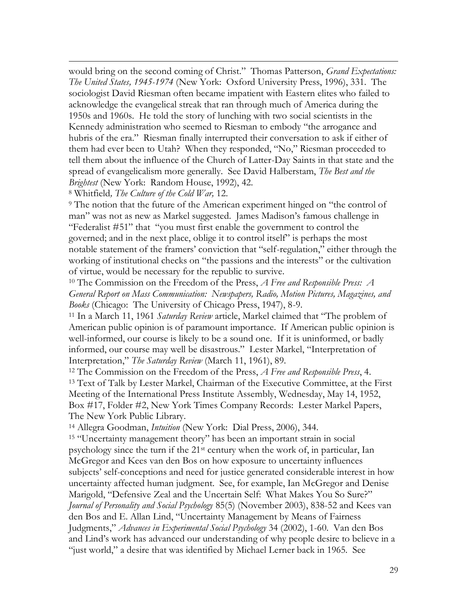would bring on the second coming of Christ." Thomas Patterson, *Grand Expectations: The United States, 1945-1974* (New York: Oxford University Press, 1996), 331. The sociologist David Riesman often became impatient with Eastern elites who failed to acknowledge the evangelical streak that ran through much of America during the 1950s and 1960s. He told the story of lunching with two social scientists in the Kennedy administration who seemed to Riesman to embody "the arrogance and hubris of the era." Riesman finally interrupted their conversation to ask if either of them had ever been to Utah? When they responded, "No," Riesman proceeded to tell them about the influence of the Church of Latter-Day Saints in that state and the spread of evangelicalism more generally. See David Halberstam, *The Best and the Brightest* (New York: Random House, 1992), 42.

<sup>8</sup> Whitfield*, The Culture of the Cold War,* 12.

 $\overline{a}$ 

<sup>9</sup> The notion that the future of the American experiment hinged on "the control of man" was not as new as Markel suggested. James Madison's famous challenge in "Federalist #51" that "you must first enable the government to control the governed; and in the next place, oblige it to control itself" is perhaps the most notable statement of the framers' conviction that "self-regulation," either through the working of institutional checks on "the passions and the interests" or the cultivation of virtue, would be necessary for the republic to survive.

<sup>10</sup> The Commission on the Freedom of the Press, *A Free and Responsible Press: A General Report on Mass Communication: Newspapers, Radio, Motion Pictures, Magazines, and Books* (Chicago: The University of Chicago Press, 1947), 8-9.

<sup>11</sup> In a March 11, 1961 *Saturday Review* article, Markel claimed that "The problem of American public opinion is of paramount importance. If American public opinion is well-informed, our course is likely to be a sound one. If it is uninformed, or badly informed, our course may well be disastrous." Lester Markel, "Interpretation of Interpretation," *The Saturday Review* (March 11, 1961), 89.

<sup>12</sup> The Commission on the Freedom of the Press, *A Free and Responsible Press*, 4. <sup>13</sup> Text of Talk by Lester Markel, Chairman of the Executive Committee, at the First Meeting of the International Press Institute Assembly, Wednesday, May 14, 1952, Box #17, Folder #2, New York Times Company Records: Lester Markel Papers, The New York Public Library.

<sup>14</sup> Allegra Goodman, *Intuition* (New York: Dial Press, 2006), 344.

<sup>15</sup> "Uncertainty management theory" has been an important strain in social psychology since the turn if the 21st century when the work of, in particular, Ian McGregor and Kees van den Bos on how exposure to uncertainty influences subjects' self-conceptions and need for justice generated considerable interest in how uncertainty affected human judgment. See, for example, Ian McGregor and Denise Marigold, "Defensive Zeal and the Uncertain Self: What Makes You So Sure?" *Journal of Personality and Social Psychology* 85(5) (November 2003), 838-52 and Kees van den Bos and E. Allan Lind, "Uncertainty Management by Means of Fairness Judgments," *Advances in Experimental Social Psychology* 34 (2002), 1-60. Van den Bos and Lind's work has advanced our understanding of why people desire to believe in a "just world," a desire that was identified by Michael Lerner back in 1965. See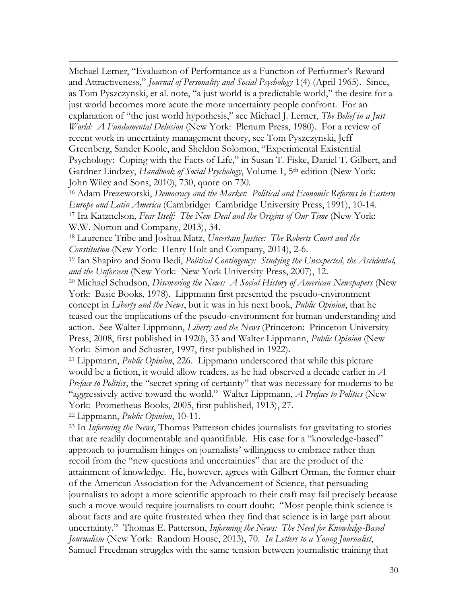Michael Lerner, "Evaluation of Performance as a Function of Performer's Reward and Attractiveness," *Journal of Personality and Social Psychology* 1(4) (April 1965). Since, as Tom Pyszczynski, et al. note, "a just world is a predictable world," the desire for a just world becomes more acute the more uncertainty people confront. For an explanation of "the just world hypothesis," see Michael J. Lerner, *The Belief in a Just World: A Fundamental Delusion* (New York: Plenum Press, 1980). For a review of recent work in uncertainty management theory, see Tom Pyszczynski, Jeff Greenberg, Sander Koole, and Sheldon Solomon, "Experimental Existential Psychology: Coping with the Facts of Life," in Susan T. Fiske, Daniel T. Gilbert, and Gardner Lindzey, *Handbook of Social Psychology*, Volume 1, 5th edition (New York: John Wiley and Sons, 2010), 730, quote on 730.

<sup>16</sup> Adam Prezeworski, *Democracy and the Market: Political and Economic Reforms in Eastern Europe and Latin America* (Cambridge: Cambridge University Press, 1991), 10-14. <sup>17</sup> Ira Katznelson, *Fear Itself: The New Deal and the Origins of Our Time* (New York: W.W. Norton and Company, 2013), 34.

<sup>18</sup> Laurence Tribe and Joshua Matz, *Uncertain Justice: The Roberts Court and the Constitution* (New York: Henry Holt and Company, 2014), 2-6.

<sup>19</sup> Ian Shapiro and Sonu Bedi, *Political Contingency: Studying the Unexpected, the Accidental, and the Unforseen* (New York: New York University Press, 2007), 12.

<sup>20</sup> Michael Schudson, *Discovering the News: A Social History of American Newspapers* (New York: Basic Books, 1978). Lippmann first presented the pseudo-environment concept in *Liberty and the News*, but it was in his next book, *Public Opinion*, that he teased out the implications of the pseudo-environment for human understanding and action. See Walter Lippmann, *Liberty and the News* (Princeton: Princeton University Press, 2008, first published in 1920), 33 and Walter Lippmann, *Public Opinion* (New York: Simon and Schuster, 1997, first published in 1922).

<sup>21</sup> Lippmann, *Public Opinion*, 226. Lippmann underscored that while this picture would be a fiction, it would allow readers, as he had observed a decade earlier in *A Preface to Politics*, the "secret spring of certainty" that was necessary for moderns to be "aggressively active toward the world." Walter Lippmann, *A Preface to Politics* (New York: Prometheus Books, 2005, first published, 1913), 27.

<sup>22</sup> Lippmann, *Public Opinion*, 10-11.

 $\overline{a}$ 

<sup>23</sup> In *Informing the News*, Thomas Patterson chides journalists for gravitating to stories that are readily documentable and quantifiable. His case for a "knowledge-based" approach to journalism hinges on journalists' willingness to embrace rather than recoil from the "new questions and uncertainties" that are the product of the attainment of knowledge. He, however, agrees with Gilbert Orman, the former chair of the American Association for the Advancement of Science, that persuading journalists to adopt a more scientific approach to their craft may fail precisely because such a move would require journalists to court doubt: "Most people think science is about facts and are quite frustrated when they find that science is in large part about uncertainty." Thomas E. Patterson, *Informing the News: The Need for Knowledge-Based Journalism* (New York: Random House, 2013), 70. *In Letters to a Young Journalist*, Samuel Freedman struggles with the same tension between journalistic training that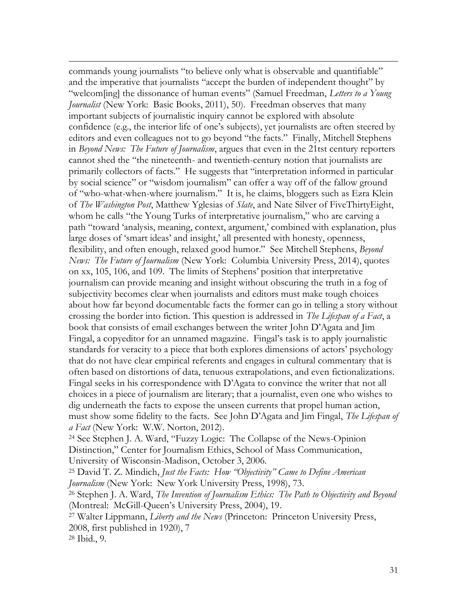commands young journalists "to believe only what is observable and quantifiable" and the imperative that journalists "accept the burden of independent thought" by "welcom[ing] the dissonance of human events" (Samuel Freedman, *Letters to a Young Journalist* (New York: Basic Books, 2011), 50). Freedman observes that many important subjects of journalistic inquiry cannot be explored with absolute confidence (e.g., the interior life of one's subjects), yet journalists are often steered by editors and even colleagues not to go beyond "the facts." Finally, Mitchell Stephens in *Beyond News: The Future of Journalism*, argues that even in the 21tst century reporters cannot shed the "the nineteenth- and twentieth-century notion that journalists are primarily collectors of facts." He suggests that "interpretation informed in particular by social science" or "wisdom journalism" can offer a way off of the fallow ground of "who-what-when-where journalism." It is, he claims, bloggers such as Ezra Klein of *The Washington Post*, Matthew Yglesias of *Slate*, and Nate Silver of FiveThirtyEight, whom he calls "the Young Turks of interpretative journalism," who are carving a path "toward 'analysis, meaning, context, argument,' combined with explanation, plus large doses of 'smart ideas' and insight,' all presented with honesty, openness, flexibility, and often enough, relaxed good humor." See Mitchell Stephens, *Beyond News: The Future of Journalism* (New York: Columbia University Press, 2014), quotes on xx, 105, 106, and 109. The limits of Stephens' position that interpretative journalism can provide meaning and insight without obscuring the truth in a fog of subjectivity becomes clear when journalists and editors must make tough choices about how far beyond documentable facts the former can go in telling a story without crossing the border into fiction. This question is addressed in *The Lifespan of a Fact*, a book that consists of email exchanges between the writer John D'Agata and Jim Fingal, a copyeditor for an unnamed magazine. Fingal's task is to apply journalistic standards for veracity to a piece that both explores dimensions of actors' psychology that do not have clear empirical referents and engages in cultural commentary that is often based on distortions of data, tenuous extrapolations, and even fictionalizations. Fingal seeks in his correspondence with D'Agata to convince the writer that not all choices in a piece of journalism are literary; that a journalist, even one who wishes to dig underneath the facts to expose the unseen currents that propel human action, must show some fidelity to the facts. See John D'Agata and Jim Fingal, *The Lifespan of a Fact* (New York: W.W. Norton, 2012).

<sup>24</sup> See Stephen J. A. Ward, "Fuzzy Logic: The Collapse of the News-Opinion Distinction," Center for Journalism Ethics, School of Mass Communication, University of Wisconsin-Madison, October 3, 2006.

<sup>25</sup> David T. Z. Mindich, *Just the Facts: How "Objectivity" Came to Define American Journalism* (New York: New York University Press, 1998), 73.

<sup>26</sup> Stephen J. A. Ward, *The Invention of Journalism Ethics: The Path to Objectivity and Beyond* (Montreal: McGill-Queen's University Press, 2004), 19.

<sup>27</sup> Walter Lippmann, *Liberty and the News* (Princeton: Princeton University Press, 2008, first published in 1920), 7

<sup>28</sup> Ibid., 9.

 $\overline{a}$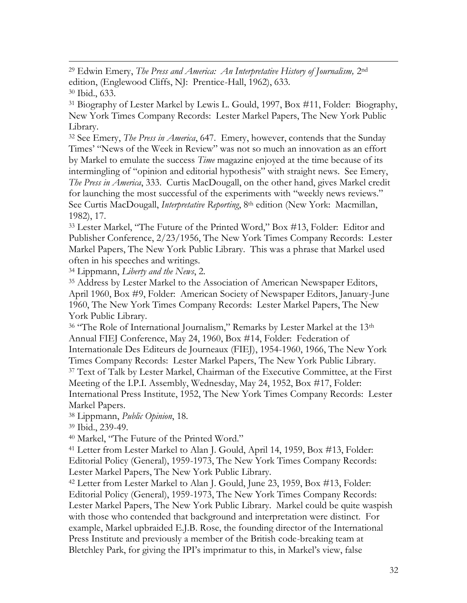$\overline{a}$ <sup>29</sup> Edwin Emery, *The Press and America: An Interpretative History of Journalism,* 2nd edition, (Englewood Cliffs, NJ: Prentice-Hall, 1962), 633. <sup>30</sup> Ibid., 633.

<sup>31</sup> Biography of Lester Markel by Lewis L. Gould, 1997, Box #11, Folder: Biography, New York Times Company Records: Lester Markel Papers, The New York Public Library.

<sup>32</sup> See Emery, *The Press in America*, 647. Emery, however, contends that the Sunday Times' "News of the Week in Review" was not so much an innovation as an effort by Markel to emulate the success *Time* magazine enjoyed at the time because of its intermingling of "opinion and editorial hypothesis" with straight news. See Emery, *The Press in America*, 333. Curtis MacDougall, on the other hand, gives Markel credit for launching the most successful of the experiments with "weekly news reviews." See Curtis MacDougall, *Interpretative Reporting*, 8th edition (New York: Macmillan, 1982), 17.

<sup>33</sup> Lester Markel, "The Future of the Printed Word," Box #13, Folder: Editor and Publisher Conference, 2/23/1956, The New York Times Company Records: Lester Markel Papers, The New York Public Library. This was a phrase that Markel used often in his speeches and writings.

<sup>34</sup> Lippmann, *Liberty and the News*, 2.

<sup>35</sup> Address by Lester Markel to the Association of American Newspaper Editors, April 1960, Box #9, Folder: American Society of Newspaper Editors, January-June 1960, The New York Times Company Records: Lester Markel Papers, The New York Public Library.

<sup>36</sup> "The Role of International Journalism," Remarks by Lester Markel at the 13<sup>th</sup> Annual FIEJ Conference, May 24, 1960, Box #14, Folder: Federation of Internationale Des Editeurs de Journeaux (FIEJ), 1954-1960, 1966, The New York Times Company Records: Lester Markel Papers, The New York Public Library. <sup>37</sup> Text of Talk by Lester Markel, Chairman of the Executive Committee, at the First Meeting of the I.P.I. Assembly, Wednesday, May 24, 1952, Box #17, Folder: International Press Institute, 1952, The New York Times Company Records: Lester Markel Papers.

<sup>38</sup> Lippmann, *Public Opinion*, 18.

<sup>39</sup> Ibid., 239-49.

<sup>40</sup> Markel, "The Future of the Printed Word."

<sup>41</sup> Letter from Lester Markel to Alan J. Gould, April 14, 1959, Box #13, Folder: Editorial Policy (General), 1959-1973, The New York Times Company Records: Lester Markel Papers, The New York Public Library.

<sup>42</sup> Letter from Lester Markel to Alan J. Gould, June 23, 1959, Box #13, Folder: Editorial Policy (General), 1959-1973, The New York Times Company Records: Lester Markel Papers, The New York Public Library. Markel could be quite waspish with those who contended that background and interpretation were distinct. For example, Markel upbraided E.J.B. Rose, the founding director of the International Press Institute and previously a member of the British code-breaking team at Bletchley Park, for giving the IPI's imprimatur to this, in Markel's view, false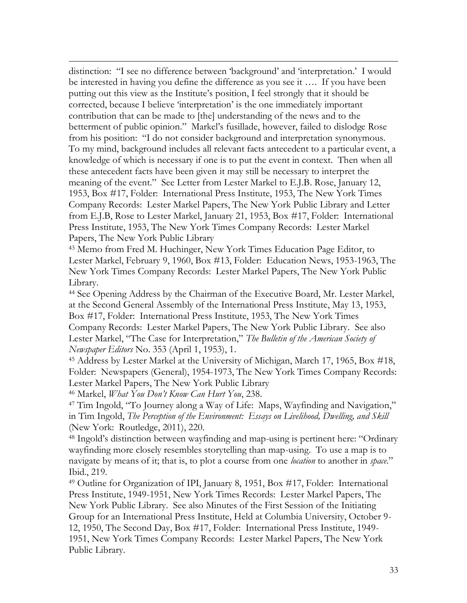distinction: "I see no difference between 'background' and 'interpretation.' I would be interested in having you define the difference as you see it …. If you have been putting out this view as the Institute's position, I feel strongly that it should be corrected, because I believe 'interpretation' is the one immediately important contribution that can be made to [the] understanding of the news and to the betterment of public opinion." Markel's fusillade, however, failed to dislodge Rose from his position: "I do not consider background and interpretation synonymous. To my mind, background includes all relevant facts antecedent to a particular event, a knowledge of which is necessary if one is to put the event in context. Then when all these antecedent facts have been given it may still be necessary to interpret the meaning of the event." See Letter from Lester Markel to E.J.B. Rose, January 12, 1953, Box #17, Folder: International Press Institute, 1953, The New York Times Company Records: Lester Markel Papers, The New York Public Library and Letter from E.J.B, Rose to Lester Markel, January 21, 1953, Box #17, Folder: International Press Institute, 1953, The New York Times Company Records: Lester Markel Papers, The New York Public Library

<sup>43</sup> Memo from Fred M. Huchinger, New York Times Education Page Editor, to Lester Markel, February 9, 1960, Box #13, Folder: Education News, 1953-1963, The New York Times Company Records: Lester Markel Papers, The New York Public Library.

<sup>44</sup> See Opening Address by the Chairman of the Executive Board, Mr. Lester Markel, at the Second General Assembly of the International Press Institute, May 13, 1953, Box #17, Folder: International Press Institute, 1953, The New York Times Company Records: Lester Markel Papers, The New York Public Library. See also Lester Markel, "The Case for Interpretation," *The Bulletin of the American Society of Newspaper Editors* No. 353 (April 1, 1953), 1.

<sup>45</sup> Address by Lester Markel at the University of Michigan, March 17, 1965, Box #18, Folder: Newspapers (General), 1954-1973, The New York Times Company Records: Lester Markel Papers, The New York Public Library

<sup>46</sup> Markel, *What You Don't Know Can Hurt You*, 238.

 $\overline{a}$ 

<sup>47</sup> Tim Ingold, "To Journey along a Way of Life: Maps, Wayfinding and Navigation," in Tim Ingold, *The Perception of the Environment: Essays on Livelihood, Dwelling, and Skill* (New York: Routledge, 2011), 220.

<sup>48</sup> Ingold's distinction between wayfinding and map-using is pertinent here: "Ordinary wayfinding more closely resembles storytelling than map-using. To use a map is to navigate by means of it; that is, to plot a course from one *location* to another in *space*." Ibid., 219.

<sup>49</sup> Outline for Organization of IPI, January 8, 1951, Box #17, Folder: International Press Institute, 1949-1951, New York Times Records: Lester Markel Papers, The New York Public Library. See also Minutes of the First Session of the Initiating Group for an International Press Institute, Held at Columbia University, October 9- 12, 1950, The Second Day, Box #17, Folder: International Press Institute, 1949- 1951, New York Times Company Records: Lester Markel Papers, The New York Public Library.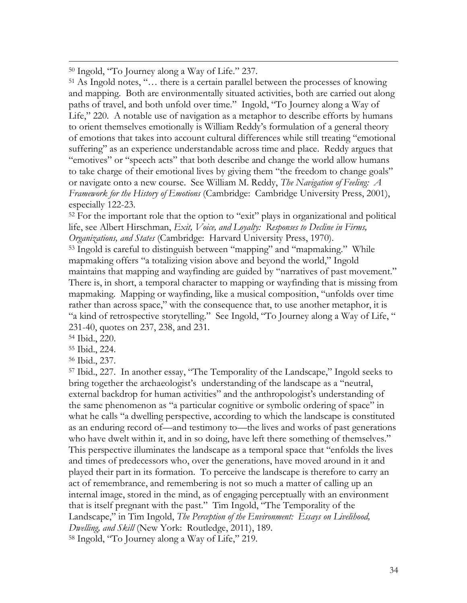<sup>50</sup> Ingold, "To Journey along a Way of Life." 237.

<sup>51</sup> As Ingold notes, "… there is a certain parallel between the processes of knowing and mapping. Both are environmentally situated activities, both are carried out along paths of travel, and both unfold over time." Ingold, "To Journey along a Way of Life," 220. A notable use of navigation as a metaphor to describe efforts by humans to orient themselves emotionally is William Reddy's formulation of a general theory of emotions that takes into account cultural differences while still treating "emotional suffering" as an experience understandable across time and place. Reddy argues that "emotives" or "speech acts" that both describe and change the world allow humans to take charge of their emotional lives by giving them "the freedom to change goals" or navigate onto a new course. See William M. Reddy, *The Navigation of Feeling: A Framework for the History of Emotions* (Cambridge: Cambridge University Press, 2001), especially 122-23.

<sup>52</sup> For the important role that the option to "exit" plays in organizational and political life, see Albert Hirschman, *Exit, Voice, and Loyalty: Responses to Decline in Firms, Organizations, and States* (Cambridge: Harvard University Press, 1970).

<sup>53</sup> Ingold is careful to distinguish between "mapping" and "mapmaking." While mapmaking offers "a totalizing vision above and beyond the world," Ingold maintains that mapping and wayfinding are guided by "narratives of past movement." There is, in short, a temporal character to mapping or wayfinding that is missing from mapmaking. Mapping or wayfinding, like a musical composition, "unfolds over time rather than across space," with the consequence that, to use another metaphor, it is "a kind of retrospective storytelling." See Ingold, "To Journey along a Way of Life, " 231-40, quotes on 237, 238, and 231.

<sup>54</sup> Ibid., 220.

 $\overline{a}$ 

<sup>55</sup> Ibid., 224.

<sup>56</sup> Ibid., 237.

<sup>57</sup> Ibid., 227. In another essay, "The Temporality of the Landscape," Ingold seeks to bring together the archaeologist's understanding of the landscape as a "neutral, external backdrop for human activities" and the anthropologist's understanding of the same phenomenon as "a particular cognitive or symbolic ordering of space" in what he calls "a dwelling perspective, according to which the landscape is constituted as an enduring record of—and testimony to—the lives and works of past generations who have dwelt within it, and in so doing, have left there something of themselves." This perspective illuminates the landscape as a temporal space that "enfolds the lives and times of predecessors who, over the generations, have moved around in it and played their part in its formation. To perceive the landscape is therefore to carry an act of remembrance, and remembering is not so much a matter of calling up an internal image, stored in the mind, as of engaging perceptually with an environment that is itself pregnant with the past." Tim Ingold, "The Temporality of the Landscape," in Tim Ingold, *The Perception of the Environment: Essays on Livelihood, Dwelling, and Skill* (New York: Routledge, 2011), 189. <sup>58</sup> Ingold, "To Journey along a Way of Life," 219.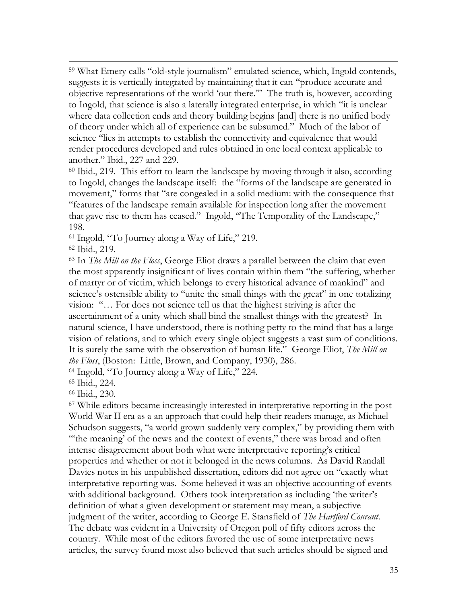<sup>59</sup> What Emery calls "old-style journalism" emulated science, which, Ingold contends, suggests it is vertically integrated by maintaining that it can "produce accurate and objective representations of the world 'out there.'" The truth is, however, according to Ingold, that science is also a laterally integrated enterprise, in which "it is unclear where data collection ends and theory building begins [and] there is no unified body of theory under which all of experience can be subsumed." Much of the labor of science "lies in attempts to establish the connectivity and equivalence that would render procedures developed and rules obtained in one local context applicable to another." Ibid., 227 and 229.

<sup>60</sup> Ibid., 219. This effort to learn the landscape by moving through it also, according to Ingold, changes the landscape itself: the "forms of the landscape are generated in movement," forms that "are congealed in a solid medium: with the consequence that "features of the landscape remain available for inspection long after the movement that gave rise to them has ceased." Ingold, "The Temporality of the Landscape," 198.

<sup>61</sup> Ingold, "To Journey along a Way of Life," 219.

<sup>62</sup> Ibid., 219.

 $\overline{a}$ 

<sup>63</sup> In *The Mill on the Floss*, George Eliot draws a parallel between the claim that even the most apparently insignificant of lives contain within them "the suffering, whether of martyr or of victim, which belongs to every historical advance of mankind" and science's ostensible ability to "unite the small things with the great" in one totalizing vision: "… For does not science tell us that the highest striving is after the ascertainment of a unity which shall bind the smallest things with the greatest? In natural science, I have understood, there is nothing petty to the mind that has a large vision of relations, and to which every single object suggests a vast sum of conditions. It is surely the same with the observation of human life." George Eliot, *The Mill on the Floss*, (Boston: Little, Brown, and Company, 1930), 286.

<sup>64</sup> Ingold, "To Journey along a Way of Life," 224.

<sup>65</sup> Ibid., 224.

<sup>66</sup> Ibid., 230.

<sup>67</sup> While editors became increasingly interested in interpretative reporting in the post World War II era as a an approach that could help their readers manage, as Michael Schudson suggests, "a world grown suddenly very complex," by providing them with "the meaning' of the news and the context of events," there was broad and often intense disagreement about both what were interpretative reporting's critical properties and whether or not it belonged in the news columns. As David Randall Davies notes in his unpublished dissertation, editors did not agree on "exactly what interpretative reporting was. Some believed it was an objective accounting of events with additional background. Others took interpretation as including 'the writer's definition of what a given development or statement may mean, a subjective judgment of the writer, according to George E. Stansfield of *The Hartford Courant*. The debate was evident in a University of Oregon poll of fifty editors across the country. While most of the editors favored the use of some interpretative news articles, the survey found most also believed that such articles should be signed and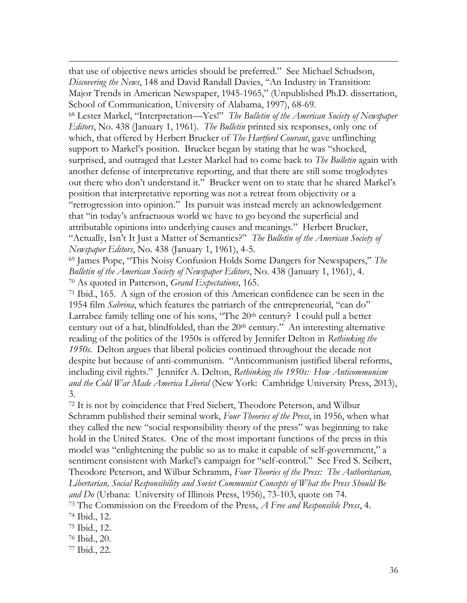that use of objective news articles should be preferred." See Michael Schudson, *Discovering the News*, 148 and David Randall Davies, "An Industry in Transition: Major Trends in American Newspaper, 1945-1965," (Unpublished Ph.D. dissertation, School of Communication, University of Alabama, 1997), 68-69.

<sup>68</sup> Lester Markel, "Interpretation—Yes!" *The Bulletin of the American Society of Newspaper Editors*, No. 438 (January 1, 1961). *The Bulletin* printed six responses, only one of which, that offered by Herbert Brucker of *The Hartford Courant*, gave unflinching support to Markel's position. Brucker began by stating that he was "shocked, surprised, and outraged that Lester Markel had to come back to *The Bulletin* again with another defense of interpretative reporting, and that there are still some troglodytes out there who don't understand it." Brucker went on to state that he shared Markel's position that interpretative reporting was not a retreat from objectivity or a "retrogression into opinion." Its pursuit was instead merely an acknowledgement that "in today's anfractuous world we have to go beyond the superficial and attributable opinions into underlying causes and meanings." Herbert Brucker, "Actually, Isn't It Just a Matter of Semantics?" *The Bulletin of the American Society of Newspaper Editors*, No. 438 (January 1, 1961), 4-5.

<sup>69</sup> James Pope, "This Noisy Confusion Holds Some Dangers for Newspapers," *The Bulletin of the American Society of Newspaper Editors*, No. 438 (January 1, 1961), 4. <sup>70</sup> As quoted in Patterson, *Grand Expectations*, 165.

<sup>71</sup> Ibid., 165. A sign of the erosion of this American confidence can be seen in the 1954 film *Sabrina*, which features the patriarch of the entrepreneurial, "can do" Larrabee family telling one of his sons,  $T$ he  $20<sup>th</sup>$  century? I could pull a better century out of a hat, blindfolded, than the  $20<sup>th</sup>$  century." An interesting alternative reading of the politics of the 1950s is offered by Jennifer Delton in *Rethinking the 1950s*. Delton argues that liberal policies continued throughout the decade not despite but because of anti-communism. "Anticommunism justified liberal reforms, including civil rights." Jennifer A. Delton, *Rethinking the 1950s: How Anticommunism and the Cold War Made America Liberal* (New York: Cambridge University Press, 2013), 3.

<sup>72</sup> It is not by coincidence that Fred Siebert, Theodore Peterson, and Wilbur Schramm published their seminal work, *Four Theories of the Press*, in 1956, when what they called the new "social responsibility theory of the press" was beginning to take hold in the United States. One of the most important functions of the press in this model was "enlightening the public so as to make it capable of self-government," a sentiment consistent with Markel's campaign for "self-control." See Fred S. Seibert, Theodore Peterson, and Wilbur Schramm, *Four Theories of the Press: The Authoritarian, Libertarian, Social Responsibility and Soviet Communist Concepts of What the Press Should Be and Do* (Urbana: University of Illinois Press, 1956), 73-103, quote on 74. <sup>73</sup> The Commission on the Freedom of the Press, *A Free and Responsible Press*, 4.

<sup>74</sup> Ibid., 12.

 $\overline{a}$ 

<sup>75</sup> Ibid., 12.

<sup>76</sup> Ibid., 20.

<sup>77</sup> Ibid., 22.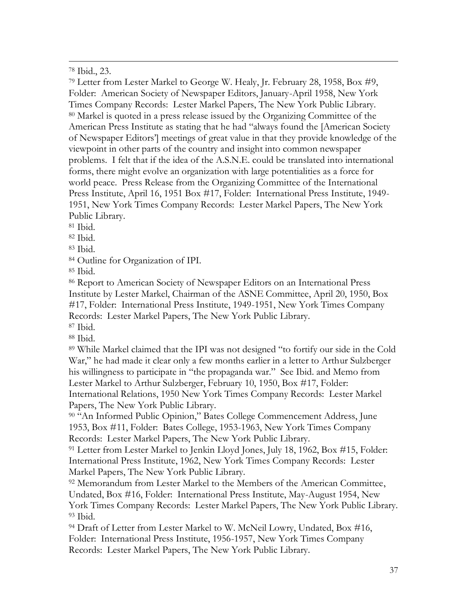<sup>78</sup> Ibid., 23.

 $\overline{a}$ 

<sup>79</sup> Letter from Lester Markel to George W. Healy, Jr. February 28, 1958, Box #9, Folder: American Society of Newspaper Editors, January-April 1958, New York Times Company Records: Lester Markel Papers, The New York Public Library. <sup>80</sup> Markel is quoted in a press release issued by the Organizing Committee of the American Press Institute as stating that he had "always found the [American Society of Newspaper Editors'] meetings of great value in that they provide knowledge of the viewpoint in other parts of the country and insight into common newspaper problems. I felt that if the idea of the A.S.N.E. could be translated into international forms, there might evolve an organization with large potentialities as a force for world peace. Press Release from the Organizing Committee of the International Press Institute, April 16, 1951 Box #17, Folder: International Press Institute, 1949- 1951, New York Times Company Records: Lester Markel Papers, The New York Public Library.

<sup>81</sup> Ibid.

<sup>82</sup> Ibid.

<sup>83</sup> Ibid.

<sup>84</sup> Outline for Organization of IPI.

<sup>85</sup> Ibid.

<sup>86</sup> Report to American Society of Newspaper Editors on an International Press Institute by Lester Markel, Chairman of the ASNE Committee, April 20, 1950, Box #17, Folder: International Press Institute, 1949-1951, New York Times Company Records: Lester Markel Papers, The New York Public Library.

<sup>87</sup> Ibid.

<sup>88</sup> Ibid.

<sup>89</sup> While Markel claimed that the IPI was not designed "to fortify our side in the Cold War," he had made it clear only a few months earlier in a letter to Arthur Sulzberger his willingness to participate in "the propaganda war." See Ibid. and Memo from Lester Markel to Arthur Sulzberger, February 10, 1950, Box #17, Folder: International Relations, 1950 New York Times Company Records: Lester Markel Papers, The New York Public Library.

<sup>90</sup> "An Informed Public Opinion," Bates College Commencement Address, June 1953, Box #11, Folder: Bates College, 1953-1963, New York Times Company Records: Lester Markel Papers, The New York Public Library.

<sup>91</sup> Letter from Lester Markel to Jenkin Lloyd Jones, July 18, 1962, Box #15, Folder: International Press Institute, 1962, New York Times Company Records: Lester Markel Papers, The New York Public Library.

<sup>92</sup> Memorandum from Lester Markel to the Members of the American Committee, Undated, Box #16, Folder: International Press Institute, May-August 1954, New York Times Company Records: Lester Markel Papers, The New York Public Library. <sup>93</sup> Ibid.

<sup>94</sup> Draft of Letter from Lester Markel to W. McNeil Lowry, Undated, Box #16, Folder: International Press Institute, 1956-1957, New York Times Company Records: Lester Markel Papers, The New York Public Library.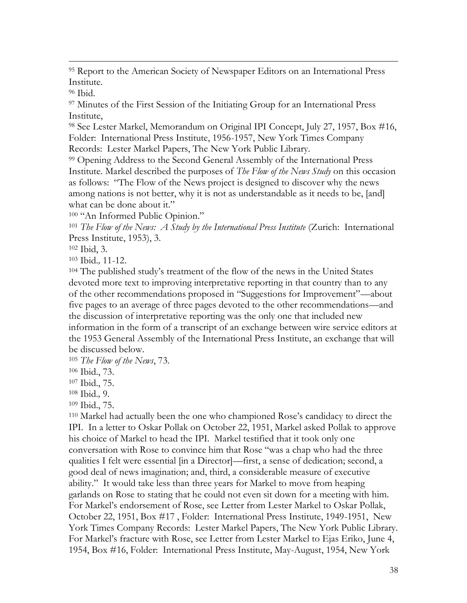<sup>95</sup> Report to the American Society of Newspaper Editors on an International Press Institute.

<sup>96</sup> Ibid.

 $\overline{a}$ 

<sup>97</sup> Minutes of the First Session of the Initiating Group for an International Press Institute,

<sup>98</sup> See Lester Markel, Memorandum on Original IPI Concept, July 27, 1957, Box #16, Folder: International Press Institute, 1956-1957, New York Times Company Records: Lester Markel Papers, The New York Public Library.

<sup>99</sup> Opening Address to the Second General Assembly of the International Press Institute. Markel described the purposes of *The Flow of the News Study* on this occasion as follows: "The Flow of the News project is designed to discover why the news among nations is not better, why it is not as understandable as it needs to be, [and] what can be done about it."

<sup>100</sup> "An Informed Public Opinion."

<sup>101</sup> *The Flow of the News: A Study by the International Press Institute* (Zurich: International Press Institute, 1953), 3.

<sup>102</sup> Ibid, 3.

<sup>103</sup> Ibid.*,* 11-12.

<sup>104</sup> The published study's treatment of the flow of the news in the United States devoted more text to improving interpretative reporting in that country than to any of the other recommendations proposed in "Suggestions for Improvement"—about five pages to an average of three pages devoted to the other recommendations—and the discussion of interpretative reporting was the only one that included new information in the form of a transcript of an exchange between wire service editors at the 1953 General Assembly of the International Press Institute, an exchange that will be discussed below.

<sup>105</sup> *The Flow of the News*, 73.

<sup>106</sup> Ibid., 73.

<sup>107</sup> Ibid., 75.

<sup>108</sup> Ibid.*,* 9.

<sup>109</sup> Ibid., 75.

<sup>110</sup> Markel had actually been the one who championed Rose's candidacy to direct the IPI. In a letter to Oskar Pollak on October 22, 1951, Markel asked Pollak to approve his choice of Markel to head the IPI. Markel testified that it took only one conversation with Rose to convince him that Rose "was a chap who had the three qualities I felt were essential [in a Director]—first, a sense of dedication; second, a good deal of news imagination; and, third, a considerable measure of executive ability." It would take less than three years for Markel to move from heaping garlands on Rose to stating that he could not even sit down for a meeting with him. For Markel's endorsement of Rose, see Letter from Lester Markel to Oskar Pollak, October 22, 1951, Box #17 , Folder: International Press Institute, 1949-1951, New York Times Company Records: Lester Markel Papers, The New York Public Library. For Markel's fracture with Rose, see Letter from Lester Markel to Ejas Eriko, June 4, 1954, Box #16, Folder: International Press Institute, May-August, 1954, New York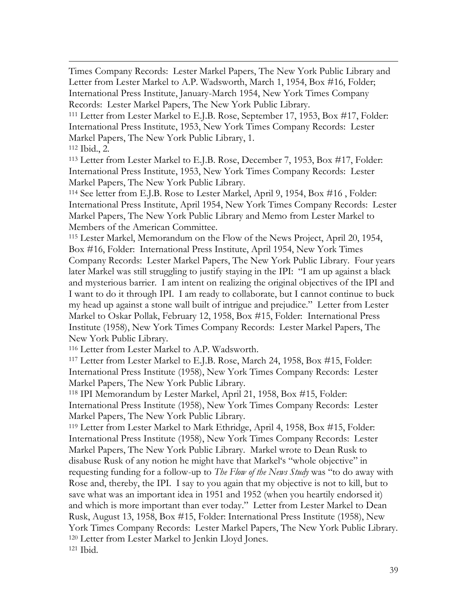Times Company Records: Lester Markel Papers, The New York Public Library and Letter from Lester Markel to A.P. Wadsworth, March 1, 1954, Box #16, Folder; International Press Institute, January-March 1954, New York Times Company Records: Lester Markel Papers, The New York Public Library.

<sup>111</sup> Letter from Lester Markel to E.J.B. Rose, September 17, 1953, Box #17, Folder: International Press Institute, 1953, New York Times Company Records: Lester Markel Papers, The New York Public Library, 1.

<sup>112</sup> Ibid., 2.

 $\overline{a}$ 

<sup>113</sup> Letter from Lester Markel to E.J.B. Rose, December 7, 1953, Box #17, Folder: International Press Institute, 1953, New York Times Company Records: Lester Markel Papers, The New York Public Library.

<sup>114</sup> See letter from E.J.B. Rose to Lester Markel, April 9, 1954, Box #16 , Folder: International Press Institute, April 1954, New York Times Company Records: Lester Markel Papers, The New York Public Library and Memo from Lester Markel to Members of the American Committee.

<sup>115</sup> Lester Markel, Memorandum on the Flow of the News Project, April 20, 1954, Box #16, Folder: International Press Institute, April 1954, New York Times Company Records: Lester Markel Papers, The New York Public Library. Four years later Markel was still struggling to justify staying in the IPI: "I am up against a black and mysterious barrier. I am intent on realizing the original objectives of the IPI and I want to do it through IPI. I am ready to collaborate, but I cannot continue to buck my head up against a stone wall built of intrigue and prejudice." Letter from Lester Markel to Oskar Pollak, February 12, 1958, Box #15, Folder: International Press Institute (1958), New York Times Company Records: Lester Markel Papers, The New York Public Library.

<sup>116</sup> Letter from Lester Markel to A.P. Wadsworth.

<sup>117</sup> Letter from Lester Markel to E.J.B. Rose, March 24, 1958, Box #15, Folder: International Press Institute (1958), New York Times Company Records: Lester Markel Papers, The New York Public Library.

<sup>118</sup> IPI Memorandum by Lester Markel, April 21, 1958, Box #15, Folder: International Press Institute (1958), New York Times Company Records: Lester Markel Papers, The New York Public Library.

<sup>119</sup> Letter from Lester Markel to Mark Ethridge, April 4, 1958, Box #15, Folder: International Press Institute (1958), New York Times Company Records: Lester Markel Papers, The New York Public Library. Markel wrote to Dean Rusk to disabuse Rusk of any notion he might have that Markel's "whole objective" in requesting funding for a follow-up to *The Flow of the News Study* was "to do away with Rose and, thereby, the IPI. I say to you again that my objective is not to kill, but to save what was an important idea in 1951 and 1952 (when you heartily endorsed it) and which is more important than ever today." Letter from Lester Markel to Dean Rusk, August 13, 1958, Box #15, Folder: International Press Institute (1958), New York Times Company Records: Lester Markel Papers, The New York Public Library. <sup>120</sup> Letter from Lester Markel to Jenkin Lloyd Jones. <sup>121</sup> Ibid.